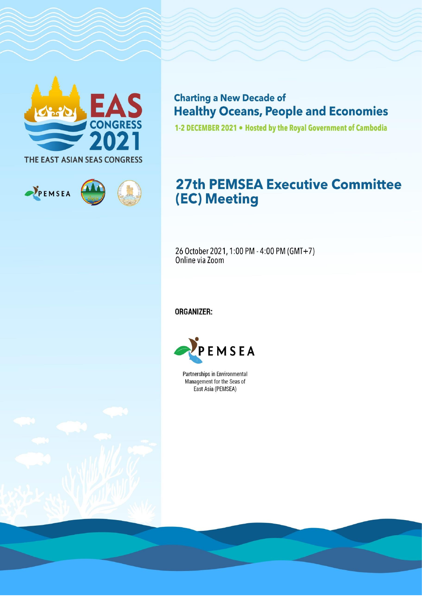

PEMSEA

**Charting a New Decade of Healthy Oceans, People and Economies** 

1-2 DECEMBER 2021 . Hosted by the Royal Government of Cambodia

# **27th PEMSEA Executive Committee** (EC) Meeting

26 October 2021, 1:00 PM - 4:00 PM (GMT+7)<br>Online via Zoom

**ORGANIZER:** 



Partnerships in Environmental Management for the Seas of East Asia (PEMSEA)

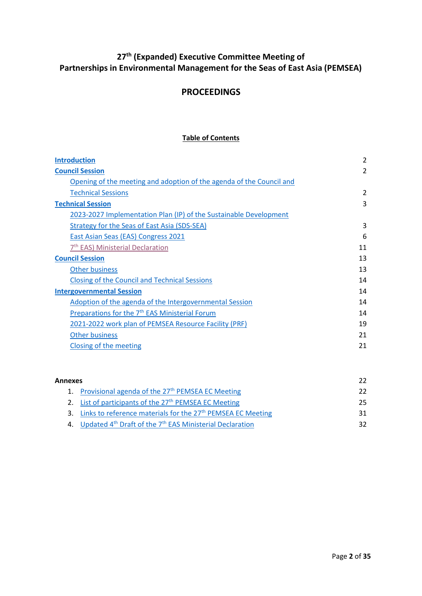# **27th (Expanded) Executive Committee Meeting of Partnerships in Environmental Management for the Seas of East Asia (PEMSEA)**

### **PROCEEDINGS**

#### **Table of Contents**

| <b>Introduction</b>                                                  | $\overline{2}$ |
|----------------------------------------------------------------------|----------------|
| <b>Council Session</b>                                               | $\overline{2}$ |
| Opening of the meeting and adoption of the agenda of the Council and |                |
| <b>Technical Sessions</b>                                            | 2              |
| <b>Technical Session</b>                                             | 3              |
| 2023-2027 Implementation Plan (IP) of the Sustainable Development    |                |
| Strategy for the Seas of East Asia (SDS-SEA)                         | 3              |
| East Asian Seas (EAS) Congress 2021                                  | 6              |
| 7 <sup>th</sup> EAS) Ministerial Declaration                         | 11             |
| <b>Council Session</b>                                               | 13             |
| <b>Other business</b>                                                | 13             |
| <b>Closing of the Council and Technical Sessions</b>                 | 14             |
| <b>Intergovernmental Session</b>                                     | 14             |
| Adoption of the agenda of the Intergovernmental Session              | 14             |
| Preparations for the 7 <sup>th</sup> EAS Ministerial Forum           | 14             |
| 2021-2022 work plan of PEMSEA Resource Facility (PRF)                | 19             |
| <b>Other business</b>                                                | 21             |
| Closing of the meeting                                               | 21             |
|                                                                      |                |

| Annexes                                                                    | 22 |
|----------------------------------------------------------------------------|----|
| 1. Provisional agenda of the 27 <sup>th</sup> PEMSEA EC Meeting            | 22 |
| 2. List of participants of the 27 <sup>th</sup> PEMSEA EC Meeting          | 25 |
| 3. Links to reference materials for the 27 <sup>th</sup> PEMSEA EC Meeting | 31 |
| 4. Updated $4th$ Draft of the $7th$ EAS Ministerial Declaration            | 32 |
|                                                                            |    |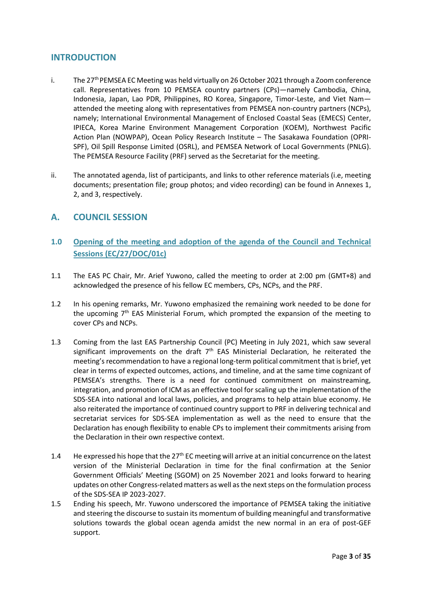#### <span id="page-2-0"></span>**INTRODUCTION**

- i. The 27<sup>th</sup> PEMSEA EC Meeting was held virtually on 26 October 2021 through a Zoom conference call. Representatives from 10 PEMSEA country partners (CPs)—namely Cambodia, China, Indonesia, Japan, Lao PDR, Philippines, RO Korea, Singapore, Timor-Leste, and Viet Nam attended the meeting along with representatives from PEMSEA non-country partners (NCPs), namely; International Environmental Management of Enclosed Coastal Seas (EMECS) Center, IPIECA, Korea Marine Environment Management Corporation (KOEM), Northwest Pacific Action Plan (NOWPAP), Ocean Policy Research Institute – The Sasakawa Foundation (OPRI-SPF), Oil Spill Response Limited (OSRL), and PEMSEA Network of Local Governments (PNLG). The PEMSEA Resource Facility (PRF) served as the Secretariat for the meeting.
- ii. The annotated agenda, list of participants, and links to other reference materials (i.e, meeting documents; presentation file; group photos; and video recording) can be found in Annexes 1, 2, and 3, respectively.

### <span id="page-2-1"></span>**A. COUNCIL SESSION**

- <span id="page-2-2"></span>**1.0 Opening of the meeting and adoption of the agenda of the Council and Technical Sessions (EC/27/DOC/01c)**
- 1.1 The EAS PC Chair, Mr. Arief Yuwono, called the meeting to order at 2:00 pm (GMT+8) and acknowledged the presence of his fellow EC members, CPs, NCPs, and the PRF.
- 1.2 In his opening remarks, Mr. Yuwono emphasized the remaining work needed to be done for the upcoming 7<sup>th</sup> EAS Ministerial Forum, which prompted the expansion of the meeting to cover CPs and NCPs.
- 1.3 Coming from the last EAS Partnership Council (PC) Meeting in July 2021, which saw several significant improvements on the draft  $7<sup>th</sup>$  EAS Ministerial Declaration, he reiterated the meeting's recommendation to have a regional long-term political commitment that is brief, yet clear in terms of expected outcomes, actions, and timeline, and at the same time cognizant of PEMSEA's strengths. There is a need for continued commitment on mainstreaming, integration, and promotion of ICM as an effective tool for scaling up the implementation of the SDS-SEA into national and local laws, policies, and programs to help attain blue economy. He also reiterated the importance of continued country support to PRF in delivering technical and secretariat services for SDS-SEA implementation as well as the need to ensure that the Declaration has enough flexibility to enable CPs to implement their commitments arising from the Declaration in their own respective context.
- 1.4 He expressed his hope that the 27<sup>th</sup> EC meeting will arrive at an initial concurrence on the latest version of the Ministerial Declaration in time for the final confirmation at the Senior Government Officials' Meeting (SGOM) on 25 November 2021 and looks forward to hearing updates on other Congress-related matters as well as the next steps on the formulation process of the SDS-SEA IP 2023-2027.
- 1.5 Ending his speech, Mr. Yuwono underscored the importance of PEMSEA taking the initiative and steering the discourse to sustain its momentum of building meaningful and transformative solutions towards the global ocean agenda amidst the new normal in an era of post-GEF support.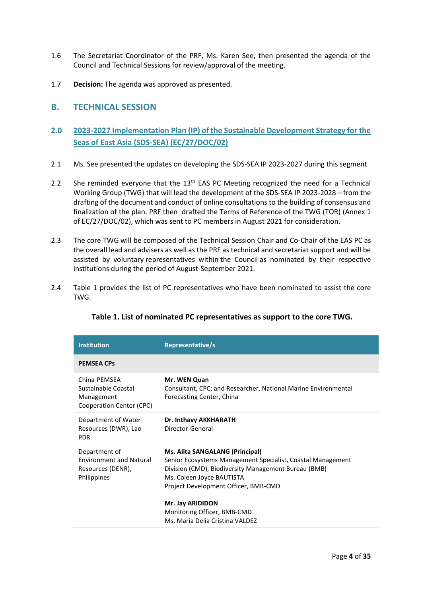- 1.6 The Secretariat Coordinator of the PRF, Ms. Karen See, then presented the agenda of the Council and Technical Sessions for review/approval of the meeting.
- 1.7 **Decision:** The agenda was approved as presented.

#### <span id="page-3-0"></span>**B. TECHNICAL SESSION**

### <span id="page-3-1"></span>**2.0 2023-2027 Implementation Plan (IP) of the Sustainable Development Strategy for the Seas of East Asia (SDS-SEA) (EC/27/DOC/02)**

- 2.1 Ms. See presented the updates on developing the SDS-SEA IP 2023-2027 during this segment.
- 2.2 She reminded everyone that the  $13<sup>th</sup>$  EAS PC Meeting recognized the need for a Technical Working Group (TWG) that will lead the development of the SDS-SEA IP 2023-2028—from the drafting of the document and conduct of online consultations to the building of consensus and finalization of the plan. PRF then drafted the Terms of Reference of the TWG (TOR) (Annex 1 of EC/27/DOC/02), which was sent to PC members in August 2021 for consideration.
- 2.3 The core TWG will be composed of the Technical Session Chair and Co-Chair of the EAS PC as the overall lead and advisers as well as the PRF as technical and secretariat support and will be assisted by voluntary representatives within the Council as nominated by their respective institutions during the period of August-September 2021.
- 2.4 Table 1 provides the list of PC representatives who have been nominated to assist the core TWG.

| <b>Institution</b>                                                                         | Representative/s                                                                                                                                                                                                                                                                                                  |
|--------------------------------------------------------------------------------------------|-------------------------------------------------------------------------------------------------------------------------------------------------------------------------------------------------------------------------------------------------------------------------------------------------------------------|
| <b>PEMSEA CPS</b>                                                                          |                                                                                                                                                                                                                                                                                                                   |
| China-PFMSFA<br>Sustainable Coastal<br>Management<br>Cooperation Center (CPC)              | Mr. WEN Quan<br>Consultant, CPC; and Researcher, National Marine Environmental<br>Forecasting Center, China                                                                                                                                                                                                       |
| Department of Water<br>Resources (DWR), Lao<br><b>PDR</b>                                  | Dr. Inthavy AKKHARATH<br>Director-General                                                                                                                                                                                                                                                                         |
| Department of<br><b>Environment and Natural</b><br>Resources (DENR),<br><b>Philippines</b> | Ms. Alita SANGALANG (Principal)<br>Senior Ecosystems Management Specialist, Coastal Management<br>Division (CMD), Biodiversity Management Bureau (BMB)<br>Ms. Coleen Joyce BAUTISTA<br>Project Development Officer, BMB-CMD<br>Mr. Jay ARIDIDON<br>Monitoring Officer, BMB-CMD<br>Ms. Maria Delia Cristina VALDEZ |

#### **Table 1. List of nominated PC representatives as support to the core TWG.**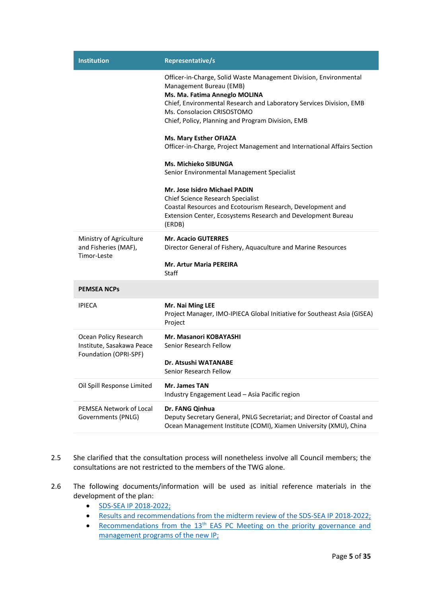| <b>Institution</b>                                                          | <b>Representative/s</b>                                                                                                                                                                                                                                                                                                                                                                                                                                                                                                                                                                                                                                                                        |
|-----------------------------------------------------------------------------|------------------------------------------------------------------------------------------------------------------------------------------------------------------------------------------------------------------------------------------------------------------------------------------------------------------------------------------------------------------------------------------------------------------------------------------------------------------------------------------------------------------------------------------------------------------------------------------------------------------------------------------------------------------------------------------------|
|                                                                             | Officer-in-Charge, Solid Waste Management Division, Environmental<br>Management Bureau (EMB)<br>Ms. Ma. Fatima Anneglo MOLINA<br>Chief, Environmental Research and Laboratory Services Division, EMB<br>Ms. Consolacion CRISOSTOMO<br>Chief, Policy, Planning and Program Division, EMB<br><b>Ms. Mary Esther OFIAZA</b><br>Officer-in-Charge, Project Management and International Affairs Section<br><b>Ms. Michieko SIBUNGA</b><br>Senior Environmental Management Specialist<br>Mr. Jose Isidro Michael PADIN<br>Chief Science Research Specialist<br>Coastal Resources and Ecotourism Research, Development and<br>Extension Center, Ecosystems Research and Development Bureau<br>(ERDB) |
| Ministry of Agriculture<br>and Fisheries (MAF),<br>Timor-Leste              | <b>Mr. Acacio GUTERRES</b><br>Director General of Fishery, Aquaculture and Marine Resources<br><b>Mr. Artur Maria PEREIRA</b>                                                                                                                                                                                                                                                                                                                                                                                                                                                                                                                                                                  |
|                                                                             | Staff                                                                                                                                                                                                                                                                                                                                                                                                                                                                                                                                                                                                                                                                                          |
| <b>PEMSEA NCPS</b>                                                          |                                                                                                                                                                                                                                                                                                                                                                                                                                                                                                                                                                                                                                                                                                |
| <b>IPIECA</b>                                                               | Mr. Nai Ming LEE<br>Project Manager, IMO-IPIECA Global Initiative for Southeast Asia (GISEA)<br>Project                                                                                                                                                                                                                                                                                                                                                                                                                                                                                                                                                                                        |
| Ocean Policy Research<br>Institute, Sasakawa Peace<br>Foundation (OPRI-SPF) | Mr. Masanori KOBAYASHI<br>Senior Research Fellow                                                                                                                                                                                                                                                                                                                                                                                                                                                                                                                                                                                                                                               |
|                                                                             | Dr. Atsushi WATANABE<br>Senior Research Fellow                                                                                                                                                                                                                                                                                                                                                                                                                                                                                                                                                                                                                                                 |
| Oil Spill Response Limited                                                  | Mr. James TAN<br>Industry Engagement Lead - Asia Pacific region                                                                                                                                                                                                                                                                                                                                                                                                                                                                                                                                                                                                                                |
| <b>PEMSEA Network of Local</b><br>Governments (PNLG)                        | Dr. FANG Qinhua<br>Deputy Secretary General, PNLG Secretariat; and Director of Coastal and<br>Ocean Management Institute (COMI), Xiamen University (XMU), China                                                                                                                                                                                                                                                                                                                                                                                                                                                                                                                                |

- 2.5 She clarified that the consultation process will nonetheless involve all Council members; the consultations are not restricted to the members of the TWG alone.
- 2.6 The following documents/information will be used as initial reference materials in the development of the plan:
	- [SDS-SEA IP 2018-2022;](http://pemsea.org/publications/reports/sds-sea-implementation-plan-2018-2022)
	- [Results and recommendations from the midterm review of the SDS-SEA IP 2018-2022;](https://www.dropbox.com/s/ik5uxc5st4m4itj/PC_13_DOC_04_Charting%20the%20PEMSEA%20Roadmap%20to%202030%20%26%20SDS-SEA%20IP%202023-2027.docx?dl=0)
	- Recommendations from the 13<sup>th</sup> EAS PC Meeting on the priority governance and [management programs of the new IP;](http://pemsea.org/publications/meeting-documents/proceedings-13th-east-asian-seas-partnership-council-meeting)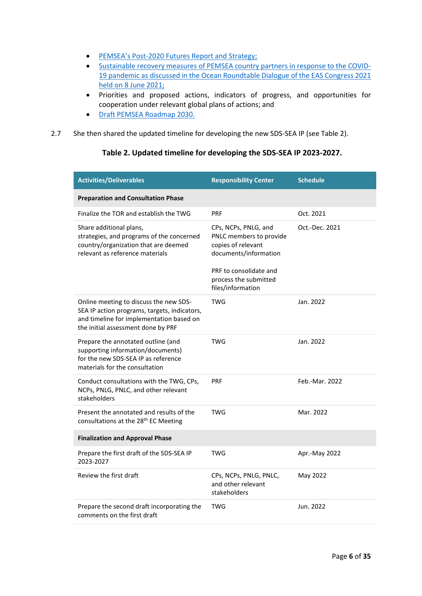- PEMSEA's Post[-2020 Futures Report and Strategy;](http://pemsea.org/publications/reports/post-2020-futures-report-and-strategy)
- [Sustainable recovery measures of PEMSEA country partners in response to the COVID-](https://tinyurl.com/OceanRTD-Proceedings)19 pandemic [as discussed in the Ocean Roundtable Dialogue of the EAS Congress 2021](https://tinyurl.com/OceanRTD-Proceedings)  [held on 8 June 2021;](https://tinyurl.com/OceanRTD-Proceedings)
- Priorities and proposed actions, indicators of progress, and opportunities for cooperation under relevant global plans of actions; and
- [Draft PEMSEA Roadmap 2030.](https://www.dropbox.com/s/gils9n902y7vm6p/PEMSEA%20Roadmap%202030%20outline_fin%20for%20release.docx?dl=0)
- 2.7 She then shared the updated timeline for developing the new SDS-SEA IP (see Table 2).

#### **Table 2. Updated timeline for developing the SDS-SEA IP 2023-2027.**

| <b>Activities/Deliverables</b>                                                                                                                   | <b>Responsibility Center</b>                                                                                                                                           | <b>Schedule</b> |
|--------------------------------------------------------------------------------------------------------------------------------------------------|------------------------------------------------------------------------------------------------------------------------------------------------------------------------|-----------------|
| <b>Preparation and Consultation Phase</b>                                                                                                        |                                                                                                                                                                        |                 |
| Finalize the TOR and establish the TWG                                                                                                           | PRF                                                                                                                                                                    | Oct. 2021       |
| Share additional plans,<br>strategies, and programs of the concerned<br>country/organization that are deemed<br>relevant as reference materials  | CPs, NCPs, PNLG, and<br>PNLC members to provide<br>copies of relevant<br>documents/information<br>PRF to consolidate and<br>process the submitted<br>files/information | Oct.-Dec. 2021  |
| Online meeting to discuss the new SDS-                                                                                                           | <b>TWG</b>                                                                                                                                                             | Jan. 2022       |
| SEA IP action programs, targets, indicators,<br>and timeline for implementation based on<br>the initial assessment done by PRF                   |                                                                                                                                                                        |                 |
| Prepare the annotated outline (and<br>supporting information/documents)<br>for the new SDS-SEA IP as reference<br>materials for the consultation | <b>TWG</b>                                                                                                                                                             | Jan. 2022       |
| Conduct consultations with the TWG, CPs,<br>NCPs, PNLG, PNLC, and other relevant<br>stakeholders                                                 | PRF                                                                                                                                                                    | Feb.-Mar. 2022  |
| Present the annotated and results of the<br>consultations at the 28 <sup>th</sup> EC Meeting                                                     | <b>TWG</b>                                                                                                                                                             | Mar. 2022       |
| <b>Finalization and Approval Phase</b>                                                                                                           |                                                                                                                                                                        |                 |
| Prepare the first draft of the SDS-SEA IP<br>2023-2027                                                                                           | <b>TWG</b>                                                                                                                                                             | Apr.-May 2022   |
| Review the first draft                                                                                                                           | CPs, NCPs, PNLG, PNLC,<br>and other relevant<br>stakeholders                                                                                                           | May 2022        |
| Prepare the second draft incorporating the<br>comments on the first draft                                                                        | <b>TWG</b>                                                                                                                                                             | Jun. 2022       |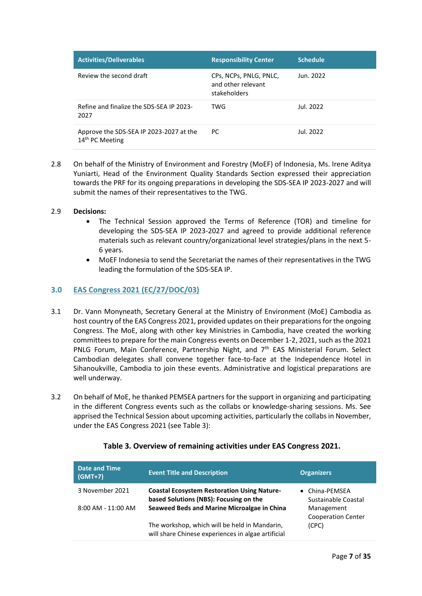| <b>Activities/Deliverables</b>                                         | <b>Responsibility Center</b>                                 | <b>Schedule</b> |
|------------------------------------------------------------------------|--------------------------------------------------------------|-----------------|
| Review the second draft                                                | CPs, NCPs, PNLG, PNLC,<br>and other relevant<br>stakeholders | Jun. 2022       |
| Refine and finalize the SDS-SEA IP 2023-<br>2027                       | TWG                                                          | Jul. 2022       |
| Approve the SDS-SEA IP 2023-2027 at the<br>14 <sup>th</sup> PC Meeting | РC                                                           | Jul. 2022       |

2.8 On behalf of the Ministry of Environment and Forestry (MoEF) of Indonesia, Ms. Irene Aditya Yuniarti, Head of the Environment Quality Standards Section expressed their appreciation towards the PRF for its ongoing preparations in developing the SDS-SEA IP 2023-2027 and will submit the names of their representatives to the TWG.

#### 2.9 **Decisions:**

- The Technical Session approved the Terms of Reference (TOR) and timeline for developing the SDS-SEA IP 2023-2027 and agreed to provide additional reference materials such as relevant country/organizational level strategies/plans in the next 5- 6 years.
- MoEF Indonesia to send the Secretariat the names of their representatives in the TWG leading the formulation of the SDS-SEA IP.

#### <span id="page-6-0"></span>**3.0 EAS Congress 2021 (EC/27/DOC/03)**

- 3.1 Dr. Vann Monyneath, Secretary General at the Ministry of Environment (MoE) Cambodia as host country of the EAS Congress 2021, provided updates on their preparations for the ongoing Congress. The MoE, along with other key Ministries in Cambodia, have created the working committees to prepare for the main Congress events on December 1-2, 2021, such as the 2021 PNLG Forum, Main Conference, Partnership Night, and 7<sup>th</sup> EAS Ministerial Forum. Select Cambodian delegates shall convene together face-to-face at the Independence Hotel in Sihanoukville, Cambodia to join these events. Administrative and logistical preparations are well underway.
- 3.2 On behalf of MoE, he thanked PEMSEA partners for the support in organizing and participating in the different Congress events such as the collabs or knowledge-sharing sessions. Ms. See apprised the Technical Session about upcoming activities, particularly the collabs in November, under the EAS Congress 2021 (see Table 3):

| <b>Date and Time</b><br>$(GMT+7)$ | <b>Event Title and Description</b>                                                                  | <b>Organizers</b>                       |
|-----------------------------------|-----------------------------------------------------------------------------------------------------|-----------------------------------------|
| 3 November 2021                   | <b>Coastal Ecosystem Restoration Using Nature-</b><br>based Solutions (NBS): Focusing on the        | • China-PEMSEA<br>Sustainable Coastal   |
| 8:00 AM - 11:00 AM                | Seaweed Beds and Marine Microalgae in China                                                         | Management<br><b>Cooperation Center</b> |
|                                   | The workshop, which will be held in Mandarin,<br>will share Chinese experiences in algae artificial | (CPC)                                   |

#### **Table 3. Overview of remaining activities under EAS Congress 2021.**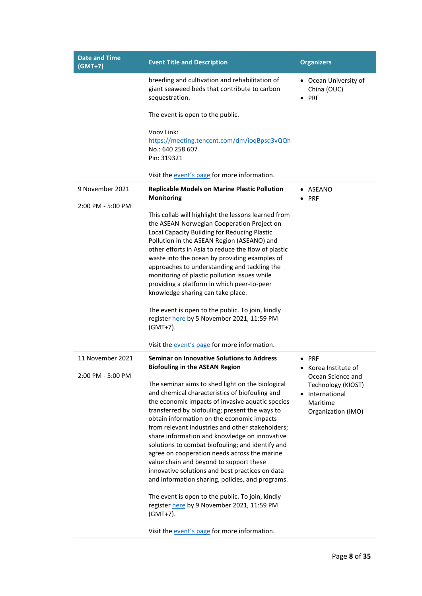| <b>Date and Time</b><br>$(GMT+7)$     | <b>Event Title and Description</b>                                                                                                                                                                                                                                                                                                                                                                                                                                                                                                                                                                                                                                                                                                                                                                                                                                            | <b>Organizers</b>                                                                                                                                |
|---------------------------------------|-------------------------------------------------------------------------------------------------------------------------------------------------------------------------------------------------------------------------------------------------------------------------------------------------------------------------------------------------------------------------------------------------------------------------------------------------------------------------------------------------------------------------------------------------------------------------------------------------------------------------------------------------------------------------------------------------------------------------------------------------------------------------------------------------------------------------------------------------------------------------------|--------------------------------------------------------------------------------------------------------------------------------------------------|
|                                       | breeding and cultivation and rehabilitation of<br>giant seaweed beds that contribute to carbon<br>sequestration.<br>The event is open to the public.<br>Vooy Link:<br>https://meeting.tencent.com/dm/ioqBpsq3vQQh<br>No.: 640 258 607<br>Pin: 319321<br>Visit the event's page for more information.                                                                                                                                                                                                                                                                                                                                                                                                                                                                                                                                                                          | • Ocean University of<br>China (OUC)<br>$\bullet$ PRF                                                                                            |
| 9 November 2021<br>2:00 PM - 5:00 PM  | <b>Replicable Models on Marine Plastic Pollution</b><br><b>Monitoring</b><br>This collab will highlight the lessons learned from<br>the ASEAN-Norwegian Cooperation Project on<br>Local Capacity Building for Reducing Plastic<br>Pollution in the ASEAN Region (ASEANO) and<br>other efforts in Asia to reduce the flow of plastic<br>waste into the ocean by providing examples of<br>approaches to understanding and tackling the<br>monitoring of plastic pollution issues while<br>providing a platform in which peer-to-peer<br>knowledge sharing can take place.<br>The event is open to the public. To join, kindly<br>register here by 5 November 2021, 11:59 PM<br>(GMT+7).<br>Visit the event's page for more information.                                                                                                                                         | $\bullet$ ASEANO<br>$\bullet$ PRF                                                                                                                |
| 11 November 2021<br>2:00 PM - 5:00 PM | <b>Seminar on Innovative Solutions to Address</b><br><b>Biofouling in the ASEAN Region</b><br>The seminar aims to shed light on the biological<br>and chemical characteristics of biofouling and<br>the economic impacts of invasive aquatic species<br>transferred by biofouling; present the ways to<br>obtain information on the economic impacts<br>from relevant industries and other stakeholders;<br>share information and knowledge on innovative<br>solutions to combat biofouling; and identify and<br>agree on cooperation needs across the marine<br>value chain and beyond to support these<br>innovative solutions and best practices on data<br>and information sharing, policies, and programs.<br>The event is open to the public. To join, kindly<br>register here by 9 November 2021, 11:59 PM<br>(GMT+7).<br>Visit the event's page for more information. | $\bullet$ PRF<br>• Korea Institute of<br>Ocean Science and<br>Technology (KIOST)<br>International<br>$\bullet$<br>Maritime<br>Organization (IMO) |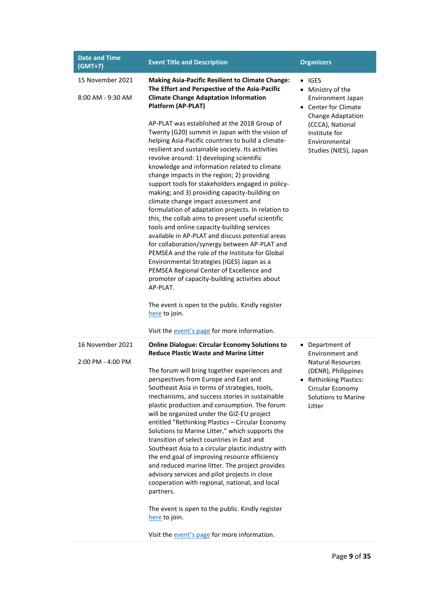| <b>Date and Time</b><br>$(GMT+7)$       | <b>Event Title and Description</b>                                                                                                                                                                                                                                                                                                                                                                                                                                                                                                                                                                                                                                                                                                                                                                                                                                                                                                                                                                                                                                                                                                                                                                                                           | <b>Organizers</b>                                                                                                                                                                                         |
|-----------------------------------------|----------------------------------------------------------------------------------------------------------------------------------------------------------------------------------------------------------------------------------------------------------------------------------------------------------------------------------------------------------------------------------------------------------------------------------------------------------------------------------------------------------------------------------------------------------------------------------------------------------------------------------------------------------------------------------------------------------------------------------------------------------------------------------------------------------------------------------------------------------------------------------------------------------------------------------------------------------------------------------------------------------------------------------------------------------------------------------------------------------------------------------------------------------------------------------------------------------------------------------------------|-----------------------------------------------------------------------------------------------------------------------------------------------------------------------------------------------------------|
| 15 November 2021<br>8:00 AM - 9:30 AM   | <b>Making Asia-Pacific Resilient to Climate Change:</b><br>The Effort and Perspective of the Asia-Pacific<br><b>Climate Change Adaptation Information</b><br><b>Platform (AP-PLAT)</b><br>AP-PLAT was established at the 2018 Group of<br>Twenty (G20) summit in Japan with the vision of<br>helping Asia-Pacific countries to build a climate-<br>resilient and sustainable society. Its activities<br>revolve around: 1) developing scientific<br>knowledge and information related to climate<br>change impacts in the region; 2) providing<br>support tools for stakeholders engaged in policy-<br>making; and 3) providing capacity-building on<br>climate change impact assessment and<br>formulation of adaptation projects. In relation to<br>this, the collab aims to present useful scientific<br>tools and online capacity-building services<br>available in AP-PLAT and discuss potential areas<br>for collaboration/synergy between AP-PLAT and<br>PEMSEA and the role of the Institute for Global<br>Environmental Strategies (IGES) Japan as a<br>PEMSEA Regional Center of Excellence and<br>promoter of capacity-building activities about<br>AP-PLAT.<br>The event is open to the public. Kindly register<br>here to join. | IGES<br>$\bullet$<br>Ministry of the<br>$\bullet$<br>Environment Japan<br>• Center for Climate<br><b>Change Adaptation</b><br>(CCCA), National<br>Institute for<br>Environmental<br>Studies (NIES), Japan |
|                                         | Visit the event's page for more information.                                                                                                                                                                                                                                                                                                                                                                                                                                                                                                                                                                                                                                                                                                                                                                                                                                                                                                                                                                                                                                                                                                                                                                                                 |                                                                                                                                                                                                           |
| 16 November 2021<br>$2:00$ PM - 4:00 PM | <b>Online Dialogue: Circular Economy Solutions to</b><br><b>Reduce Plastic Waste and Marine Litter</b><br>The forum will bring together experiences and<br>perspectives from Europe and East and<br>Southeast Asia in terms of strategies, tools,<br>mechanisms, and success stories in sustainable<br>plastic production and consumption. The forum<br>will be organized under the GIZ-EU project<br>entitled "Rethinking Plastics - Circular Economy<br>Solutions to Marine Litter," which supports the<br>transition of select countries in East and<br>Southeast Asia to a circular plastic industry with<br>the end goal of improving resource efficiency<br>and reduced marine litter. The project provides<br>advisory services and pilot projects in close<br>cooperation with regional, national, and local<br>partners.<br>The event is open to the public. Kindly register<br>here to join.<br>Visit the event's page for more information.                                                                                                                                                                                                                                                                                       | • Department of<br>Environment and<br><b>Natural Resources</b><br>(DENR), Philippines<br>• Rethinking Plastics:<br>Circular Economy<br><b>Solutions to Marine</b><br>Litter                               |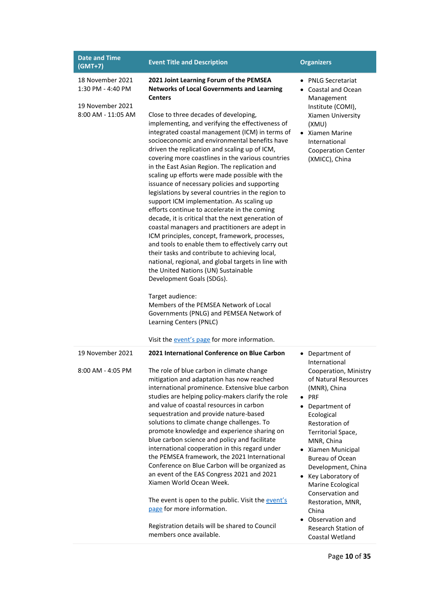| <b>Date and Time</b><br>$(GMT+7)$                                               | <b>Event Title and Description</b>                                                                                                                                                                                                                                                                                                                                                                                                                                                                                                                                                                                                                                                                                                                                                                                                                                                                                                                                                                                                                                                                                                                                                                                                                                                                             | <b>Organizers</b>                                                                                                                                                                                                                                                                                                                                                                                                                       |
|---------------------------------------------------------------------------------|----------------------------------------------------------------------------------------------------------------------------------------------------------------------------------------------------------------------------------------------------------------------------------------------------------------------------------------------------------------------------------------------------------------------------------------------------------------------------------------------------------------------------------------------------------------------------------------------------------------------------------------------------------------------------------------------------------------------------------------------------------------------------------------------------------------------------------------------------------------------------------------------------------------------------------------------------------------------------------------------------------------------------------------------------------------------------------------------------------------------------------------------------------------------------------------------------------------------------------------------------------------------------------------------------------------|-----------------------------------------------------------------------------------------------------------------------------------------------------------------------------------------------------------------------------------------------------------------------------------------------------------------------------------------------------------------------------------------------------------------------------------------|
| 18 November 2021<br>1:30 PM - 4:40 PM<br>19 November 2021<br>8:00 AM - 11:05 AM | 2021 Joint Learning Forum of the PEMSEA<br><b>Networks of Local Governments and Learning</b><br><b>Centers</b><br>Close to three decades of developing,<br>implementing, and verifying the effectiveness of<br>integrated coastal management (ICM) in terms of<br>socioeconomic and environmental benefits have<br>driven the replication and scaling up of ICM,<br>covering more coastlines in the various countries<br>in the East Asian Region. The replication and<br>scaling up efforts were made possible with the<br>issuance of necessary policies and supporting<br>legislations by several countries in the region to<br>support ICM implementation. As scaling up<br>efforts continue to accelerate in the coming<br>decade, it is critical that the next generation of<br>coastal managers and practitioners are adept in<br>ICM principles, concept, framework, processes,<br>and tools to enable them to effectively carry out<br>their tasks and contribute to achieving local,<br>national, regional, and global targets in line with<br>the United Nations (UN) Sustainable<br>Development Goals (SDGs).<br>Target audience:<br>Members of the PEMSEA Network of Local<br>Governments (PNLG) and PEMSEA Network of<br>Learning Centers (PNLC)<br>Visit the event's page for more information. | • PNLG Secretariat<br>Coastal and Ocean<br>Management<br>Institute (COMI),<br>Xiamen University<br>(XMU)<br>• Xiamen Marine<br>International<br><b>Cooperation Center</b><br>(XMICC), China                                                                                                                                                                                                                                             |
| 19 November 2021<br>8:00 AM - 4:05 PM                                           | 2021 International Conference on Blue Carbon<br>The role of blue carbon in climate change<br>mitigation and adaptation has now reached<br>international prominence. Extensive blue carbon<br>studies are helping policy-makers clarify the role<br>and value of coastal resources in carbon<br>sequestration and provide nature-based<br>solutions to climate change challenges. To<br>promote knowledge and experience sharing on<br>blue carbon science and policy and facilitate<br>international cooperation in this regard under<br>the PEMSEA framework, the 2021 International<br>Conference on Blue Carbon will be organized as<br>an event of the EAS Congress 2021 and 2021<br>Xiamen World Ocean Week.<br>The event is open to the public. Visit the event's<br>page for more information.<br>Registration details will be shared to Council<br>members once available.                                                                                                                                                                                                                                                                                                                                                                                                                             | • Department of<br>International<br>Cooperation, Ministry<br>of Natural Resources<br>(MNR), China<br><b>PRF</b><br>Department of<br>Ecological<br>Restoration of<br>Territorial Space,<br>MNR, China<br>• Xiamen Municipal<br><b>Bureau of Ocean</b><br>Development, China<br>• Key Laboratory of<br>Marine Ecological<br>Conservation and<br>Restoration, MNR,<br>China<br>• Observation and<br>Research Station of<br>Coastal Wetland |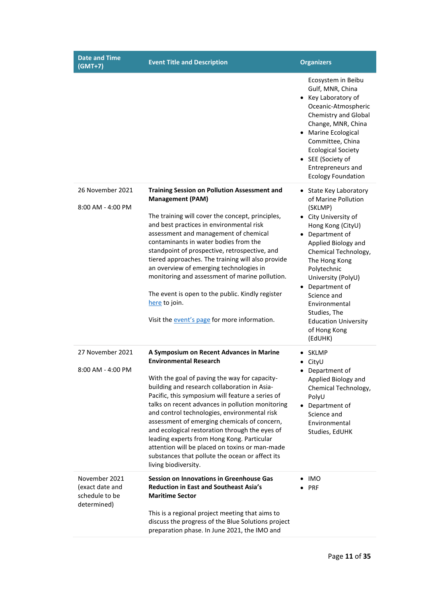| <b>Date and Time</b><br>$(GMT+7)$                                 | <b>Event Title and Description</b>                                                                                                                                                                                                                                                                                                                                                                                                                                                                                                                                                                              | <b>Organizers</b>                                                                                                                                                                                                                                                                                                                                                                |
|-------------------------------------------------------------------|-----------------------------------------------------------------------------------------------------------------------------------------------------------------------------------------------------------------------------------------------------------------------------------------------------------------------------------------------------------------------------------------------------------------------------------------------------------------------------------------------------------------------------------------------------------------------------------------------------------------|----------------------------------------------------------------------------------------------------------------------------------------------------------------------------------------------------------------------------------------------------------------------------------------------------------------------------------------------------------------------------------|
|                                                                   |                                                                                                                                                                                                                                                                                                                                                                                                                                                                                                                                                                                                                 | Ecosystem in Beibu<br>Gulf, MNR, China<br>• Key Laboratory of<br>Oceanic-Atmospheric<br>Chemistry and Global<br>Change, MNR, China<br>• Marine Ecological<br>Committee, China<br><b>Ecological Society</b><br>• SEE (Society of<br>Entrepreneurs and<br><b>Ecology Foundation</b>                                                                                                |
| 26 November 2021<br>$8:00$ AM - 4:00 PM                           | <b>Training Session on Pollution Assessment and</b><br><b>Management (PAM)</b><br>The training will cover the concept, principles,<br>and best practices in environmental risk<br>assessment and management of chemical<br>contaminants in water bodies from the<br>standpoint of prospective, retrospective, and<br>tiered approaches. The training will also provide<br>an overview of emerging technologies in<br>monitoring and assessment of marine pollution.<br>The event is open to the public. Kindly register<br>here to join.<br>Visit the event's page for more information.                        | • State Key Laboratory<br>of Marine Pollution<br>(SKLMP)<br>• City University of<br>Hong Kong (CityU)<br>Department of<br>$\bullet$<br>Applied Biology and<br>Chemical Technology,<br>The Hong Kong<br>Polytechnic<br>University (PolyU)<br>Department of<br>$\bullet$<br>Science and<br>Environmental<br>Studies, The<br><b>Education University</b><br>of Hong Kong<br>(EdUHK) |
| 27 November 2021<br>8:00 AM - 4:00 PM                             | A Symposium on Recent Advances in Marine<br><b>Environmental Research</b><br>With the goal of paving the way for capacity-<br>building and research collaboration in Asia-<br>Pacific, this symposium will feature a series of<br>talks on recent advances in pollution monitoring<br>and control technologies, environmental risk<br>assessment of emerging chemicals of concern,<br>and ecological restoration through the eyes of<br>leading experts from Hong Kong. Particular<br>attention will be placed on toxins or man-made<br>substances that pollute the ocean or affect its<br>living biodiversity. | SKLMP<br>CityU<br>Department of<br>Applied Biology and<br>Chemical Technology,<br>PolyU<br>Department of<br>$\bullet$<br>Science and<br>Environmental<br>Studies, EdUHK                                                                                                                                                                                                          |
| November 2021<br>(exact date and<br>schedule to be<br>determined) | <b>Session on Innovations in Greenhouse Gas</b><br><b>Reduction in East and Southeast Asia's</b><br><b>Maritime Sector</b><br>This is a regional project meeting that aims to<br>discuss the progress of the Blue Solutions project<br>preparation phase. In June 2021, the IMO and                                                                                                                                                                                                                                                                                                                             | <b>IMO</b><br><b>PRF</b>                                                                                                                                                                                                                                                                                                                                                         |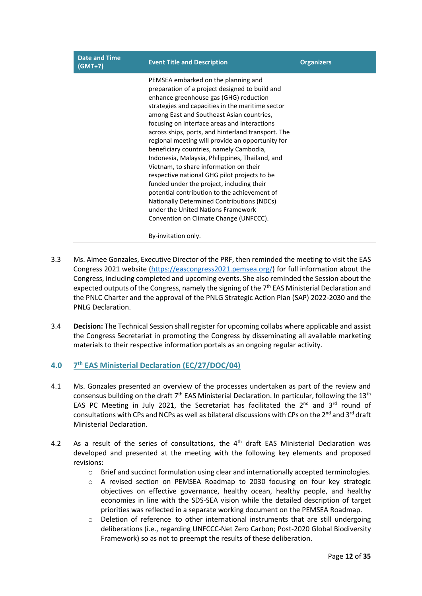| <b>Date and Time</b><br>$(GMT+7)$ | <b>Event Title and Description</b>                                                                                                                                                                                                                                                                                                                                                                                                                                                                                                                                                                                                                                                                                                                                                                                                   | <b>Organizers</b> |
|-----------------------------------|--------------------------------------------------------------------------------------------------------------------------------------------------------------------------------------------------------------------------------------------------------------------------------------------------------------------------------------------------------------------------------------------------------------------------------------------------------------------------------------------------------------------------------------------------------------------------------------------------------------------------------------------------------------------------------------------------------------------------------------------------------------------------------------------------------------------------------------|-------------------|
|                                   | PEMSEA embarked on the planning and<br>preparation of a project designed to build and<br>enhance greenhouse gas (GHG) reduction<br>strategies and capacities in the maritime sector<br>among East and Southeast Asian countries,<br>focusing on interface areas and interactions<br>across ships, ports, and hinterland transport. The<br>regional meeting will provide an opportunity for<br>beneficiary countries, namely Cambodia,<br>Indonesia, Malaysia, Philippines, Thailand, and<br>Vietnam, to share information on their<br>respective national GHG pilot projects to be<br>funded under the project, including their<br>potential contribution to the achievement of<br>Nationally Determined Contributions (NDCs)<br>under the United Nations Framework<br>Convention on Climate Change (UNFCCC).<br>By-invitation only. |                   |
|                                   |                                                                                                                                                                                                                                                                                                                                                                                                                                                                                                                                                                                                                                                                                                                                                                                                                                      |                   |

- 3.3 Ms. Aimee Gonzales, Executive Director of the PRF, then reminded the meeting to visit the EAS Congress 2021 website [\(https://eascongress2021.pemsea.org/\)](https://eascongress2021.pemsea.org/) for full information about the Congress, including completed and upcoming events. She also reminded the Session about the expected outputs of the Congress, namely the signing of the  $7<sup>th</sup>$  EAS Ministerial Declaration and the PNLC Charter and the approval of the PNLG Strategic Action Plan (SAP) 2022-2030 and the PNLG Declaration.
- 3.4 **Decision:** The Technical Session shall register for upcoming collabs where applicable and assist the Congress Secretariat in promoting the Congress by disseminating all available marketing materials to their respective information portals as an ongoing regular activity.

#### <span id="page-11-0"></span>**4.0 7 th EAS Ministerial Declaration (EC/27/DOC/04)**

- 4.1 Ms. Gonzales presented an overview of the processes undertaken as part of the review and consensus building on the draft  $7<sup>th</sup>$  EAS Ministerial Declaration. In particular, following the 13<sup>th</sup> EAS PC Meeting in July 2021, the Secretariat has facilitated the  $2^{nd}$  and  $3^{rd}$  round of consultations with CPs and NCPs as well as bilateral discussions with CPs on the 2<sup>nd</sup> and 3<sup>rd</sup> draft Ministerial Declaration.
- 4.2 As a result of the series of consultations, the  $4<sup>th</sup>$  draft EAS Ministerial Declaration was developed and presented at the meeting with the following key elements and proposed revisions:
	- o Brief and succinct formulation using clear and internationally accepted terminologies.
	- o A revised section on PEMSEA Roadmap to 2030 focusing on four key strategic objectives on effective governance, healthy ocean, healthy people, and healthy economies in line with the SDS-SEA vision while the detailed description of target priorities was reflected in a separate working document on the PEMSEA Roadmap.
	- o Deletion of reference to other international instruments that are still undergoing deliberations (i.e., regarding UNFCCC-Net Zero Carbon; Post-2020 Global Biodiversity Framework) so as not to preempt the results of these deliberation.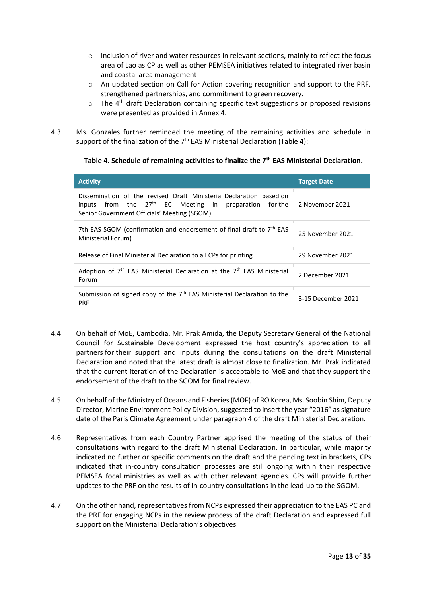- o Inclusion of river and water resources in relevant sections, mainly to reflect the focus area of Lao as CP as well as other PEMSEA initiatives related to integrated river basin and coastal area management
- $\circ$  An updated section on Call for Action covering recognition and support to the PRF, strengthened partnerships, and commitment to green recovery.
- $\circ$  The 4<sup>th</sup> draft Declaration containing specific text suggestions or proposed revisions were presented as provided in Annex 4.
- 4.3 Ms. Gonzales further reminded the meeting of the remaining activities and schedule in support of the finalization of the 7<sup>th</sup> EAS Ministerial Declaration (Table 4):

#### **Table 4. Schedule of remaining activities to finalize the 7th EAS Ministerial Declaration.**

| <b>Activity</b>                                                                                                                                                                | <b>Target Date</b> |
|--------------------------------------------------------------------------------------------------------------------------------------------------------------------------------|--------------------|
| Dissemination of the revised Draft Ministerial Declaration based on<br>inputs from the $27th$ EC Meeting in preparation for the<br>Senior Government Officials' Meeting (SGOM) | 2 November 2021    |
| 7th EAS SGOM (confirmation and endorsement of final draft to $7th$ EAS<br>Ministerial Forum)                                                                                   | 25 November 2021   |
| Release of Final Ministerial Declaration to all CPs for printing                                                                                                               | 29 November 2021   |
| Adoption of $7th$ EAS Ministerial Declaration at the $7th$ EAS Ministerial<br>Forum                                                                                            | 2 December 2021    |
| Submission of signed copy of the 7 <sup>th</sup> EAS Ministerial Declaration to the<br><b>PRF</b>                                                                              | 3-15 December 2021 |

- 4.4 On behalf of MoE, Cambodia, Mr. Prak Amida, the Deputy Secretary General of the National Council for Sustainable Development expressed the host country's appreciation to all partners for their support and inputs during the consultations on the draft Ministerial Declaration and noted that the latest draft is almost close to finalization. Mr. Prak indicated that the current iteration of the Declaration is acceptable to MoE and that they support the endorsement of the draft to the SGOM for final review.
- 4.5 On behalf of the Ministry of Oceans and Fisheries (MOF) of RO Korea, Ms. Soobin Shim, Deputy Director, Marine Environment Policy Division, suggested to insert the year "2016" as signature date of the Paris Climate Agreement under paragraph 4 of the draft Ministerial Declaration.
- 4.6 Representatives from each Country Partner apprised the meeting of the status of their consultations with regard to the draft Ministerial Declaration. In particular, while majority indicated no further or specific comments on the draft and the pending text in brackets, CPs indicated that in-country consultation processes are still ongoing within their respective PEMSEA focal ministries as well as with other relevant agencies. CPs will provide further updates to the PRF on the results of in-country consultations in the lead-up to the SGOM.
- 4.7 On the other hand, representatives from NCPs expressed their appreciation to the EAS PC and the PRF for engaging NCPs in the review process of the draft Declaration and expressed full support on the Ministerial Declaration's objectives.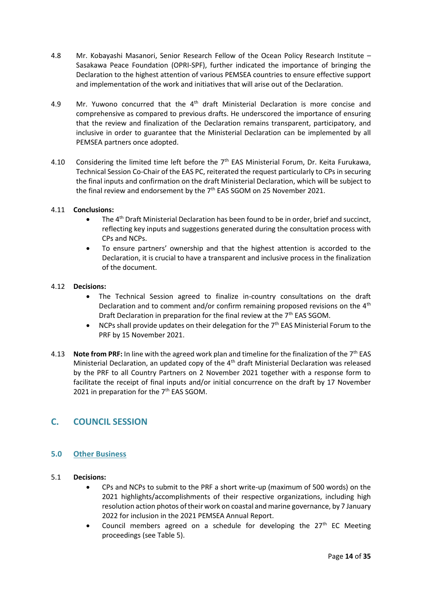- 4.8 Mr. Kobayashi Masanori, Senior Research Fellow of the Ocean Policy Research Institute Sasakawa Peace Foundation (OPRI-SPF), further indicated the importance of bringing the Declaration to the highest attention of various PEMSEA countries to ensure effective support and implementation of the work and initiatives that will arise out of the Declaration.
- 4.9 Mr. Yuwono concurred that the  $4<sup>th</sup>$  draft Ministerial Declaration is more concise and comprehensive as compared to previous drafts. He underscored the importance of ensuring that the review and finalization of the Declaration remains transparent, participatory, and inclusive in order to guarantee that the Ministerial Declaration can be implemented by all PEMSEA partners once adopted.
- 4.10 Considering the limited time left before the 7<sup>th</sup> EAS Ministerial Forum, Dr. Keita Furukawa, Technical Session Co-Chair of the EAS PC, reiterated the request particularly to CPs in securing the final inputs and confirmation on the draft Ministerial Declaration, which will be subject to the final review and endorsement by the  $7<sup>th</sup>$  EAS SGOM on 25 November 2021.

#### 4.11 **Conclusions:**

- $\bullet$  The 4<sup>th</sup> Draft Ministerial Declaration has been found to be in order, brief and succinct, reflecting key inputs and suggestions generated during the consultation process with CPs and NCPs.
- To ensure partners' ownership and that the highest attention is accorded to the Declaration, it is crucial to have a transparent and inclusive process in the finalization of the document.

#### 4.12 **Decisions:**

- The Technical Session agreed to finalize in-country consultations on the draft Declaration and to comment and/or confirm remaining proposed revisions on the  $4<sup>th</sup>$ Draft Declaration in preparation for the final review at the 7<sup>th</sup> EAS SGOM.
- NCPs shall provide updates on their delegation for the  $7<sup>th</sup>$  EAS Ministerial Forum to the PRF by 15 November 2021.
- 4.13 **Note from PRF:** In line with the agreed work plan and timeline for the finalization of the 7<sup>th</sup> EAS Ministerial Declaration, an updated copy of the  $4<sup>th</sup>$  draft Ministerial Declaration was released by the PRF to all Country Partners on 2 November 2021 together with a response form to facilitate the receipt of final inputs and/or initial concurrence on the draft by 17 November 2021 in preparation for the  $7<sup>th</sup>$  EAS SGOM.

### <span id="page-13-0"></span>**C. COUNCIL SESSION**

#### <span id="page-13-1"></span>**5.0 Other Business**

#### 5.1 **Decisions:**

- CPs and NCPs to submit to the PRF a short write-up (maximum of 500 words) on the 2021 highlights/accomplishments of their respective organizations, including high resolution action photos of their work on coastal and marine governance, by 7 January 2022 for inclusion in the 2021 PEMSEA Annual Report.
- Council members agreed on a schedule for developing the 27<sup>th</sup> EC Meeting proceedings (see Table 5).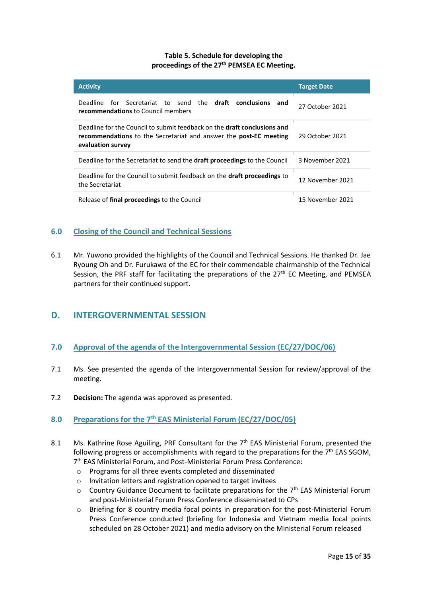#### **Table 5. Schedule for developing the proceedings of the 27th PEMSEA EC Meeting.**

| <b>Activity</b>                                                                                                                                                           | <b>Target Date</b> |
|---------------------------------------------------------------------------------------------------------------------------------------------------------------------------|--------------------|
| Deadline for Secretariat to send the <b>draft conclusions</b><br>and<br><b>recommendations</b> to Council members                                                         | 27 October 2021    |
| Deadline for the Council to submit feedback on the <b>draft conclusions and</b><br>recommendations to the Secretariat and answer the post-EC meeting<br>evaluation survey | 29 October 2021    |
| Deadline for the Secretariat to send the <b>draft proceedings</b> to the Council                                                                                          | 3 November 2021    |
| Deadline for the Council to submit feedback on the <b>draft proceedings</b> to<br>the Secretariat                                                                         | 12 November 2021   |
| Release of final proceedings to the Council                                                                                                                               | 15 November 2021   |

#### <span id="page-14-0"></span>**6.0 Closing of the Council and Technical Sessions**

6.1 Mr. Yuwono provided the highlights of the Council and Technical Sessions. He thanked Dr. Jae Ryoung Oh and Dr. Furukawa of the EC for their commendable chairmanship of the Technical Session, the PRF staff for facilitating the preparations of the  $27<sup>th</sup>$  EC Meeting, and PEMSEA partners for their continued support.

#### <span id="page-14-1"></span>**D. INTERGOVERNMENTAL SESSION**

- <span id="page-14-2"></span>**7.0 Approval of the agenda of the Intergovernmental Session (EC/27/DOC/06)**
- 7.1 Ms. See presented the agenda of the Intergovernmental Session for review/approval of the meeting.
- 7.2 **Decision:** The agenda was approved as presented.

#### <span id="page-14-3"></span>**8.0 Preparations for the 7th EAS Ministerial Forum (EC/27/DOC/05)**

- 8.1 Ms. Kathrine Rose Aguiling, PRF Consultant for the  $7<sup>th</sup>$  EAS Ministerial Forum, presented the following progress or accomplishments with regard to the preparations for the 7<sup>th</sup> EAS SGOM, 7<sup>th</sup> EAS Ministerial Forum, and Post-Ministerial Forum Press Conference:
	- o Programs for all three events completed and disseminated
	- o Invitation letters and registration opened to target invitees
	- $\circ$  Country Guidance Document to facilitate preparations for the  $7<sup>th</sup>$  EAS Ministerial Forum and post-Ministerial Forum Press Conference disseminated to CPs
	- o Briefing for 8 country media focal points in preparation for the post-Ministerial Forum Press Conference conducted (briefing for Indonesia and Vietnam media focal points scheduled on 28 October 2021) and media advisory on the Ministerial Forum released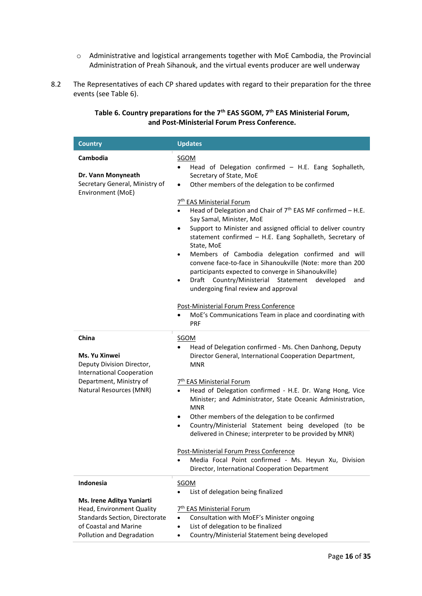- o Administrative and logistical arrangements together with MoE Cambodia, the Provincial Administration of Preah Sihanouk, and the virtual events producer are well underway
- 8.2 The Representatives of each CP shared updates with regard to their preparation for the three events (see Table 6).

| <b>Country</b>                                                                                                                                                     | <b>Updates</b>                                                                                                                                                                                                                                                                                                                                                                                                                                                                                                                                                                                                                                                |
|--------------------------------------------------------------------------------------------------------------------------------------------------------------------|---------------------------------------------------------------------------------------------------------------------------------------------------------------------------------------------------------------------------------------------------------------------------------------------------------------------------------------------------------------------------------------------------------------------------------------------------------------------------------------------------------------------------------------------------------------------------------------------------------------------------------------------------------------|
| Cambodia<br>Dr. Vann Monyneath<br>Secretary General, Ministry of<br>Environment (MoE)                                                                              | SGOM<br>Head of Delegation confirmed - H.E. Eang Sophalleth,<br>$\bullet$<br>Secretary of State, MoE<br>Other members of the delegation to be confirmed<br>$\bullet$<br>7 <sup>th</sup> EAS Ministerial Forum<br>Head of Delegation and Chair of $7th$ EAS MF confirmed – H.E.<br>$\bullet$<br>Say Samal, Minister, MoE<br>Support to Minister and assigned official to deliver country<br>٠<br>statement confirmed - H.E. Eang Sophalleth, Secretary of<br>State, MoE<br>Members of Cambodia delegation confirmed and will<br>$\bullet$<br>convene face-to-face in Sihanoukville (Note: more than 200<br>participants expected to converge in Sihanoukville) |
|                                                                                                                                                                    | Draft Country/Ministerial<br>Statement<br>developed<br>and<br>$\bullet$<br>undergoing final review and approval<br>Post-Ministerial Forum Press Conference<br>MoE's Communications Team in place and coordinating with<br>$\bullet$<br><b>PRF</b>                                                                                                                                                                                                                                                                                                                                                                                                             |
| China<br>Ms. Yu Xinwei<br>Deputy Division Director,<br><b>International Cooperation</b><br>Department, Ministry of<br>Natural Resources (MNR)                      | <b>SGOM</b><br>Head of Delegation confirmed - Ms. Chen Danhong, Deputy<br>Director General, International Cooperation Department,<br><b>MNR</b><br>7 <sup>th</sup> EAS Ministerial Forum<br>Head of Delegation confirmed - H.E. Dr. Wang Hong, Vice<br>Minister; and Administrator, State Oceanic Administration,<br><b>MNR</b><br>Other members of the delegation to be confirmed<br>٠<br>Country/Ministerial Statement being developed (to be<br>$\bullet$<br>delivered in Chinese; interpreter to be provided by MNR)                                                                                                                                      |
|                                                                                                                                                                    | Post-Ministerial Forum Press Conference<br>Media Focal Point confirmed - Ms. Heyun Xu, Division<br>$\bullet$<br>Director, International Cooperation Department                                                                                                                                                                                                                                                                                                                                                                                                                                                                                                |
| Indonesia<br>Ms. Irene Aditya Yuniarti<br>Head, Environment Quality<br><b>Standards Section, Directorate</b><br>of Coastal and Marine<br>Pollution and Degradation | SGOM<br>List of delegation being finalized<br>7 <sup>th</sup> EAS Ministerial Forum<br>Consultation with MoEF's Minister ongoing<br>List of delegation to be finalized<br>Country/Ministerial Statement being developed<br>$\bullet$                                                                                                                                                                                                                                                                                                                                                                                                                          |

#### **Table 6. Country preparations for the 7th EAS SGOM, 7th EAS Ministerial Forum, and Post-Ministerial Forum Press Conference.**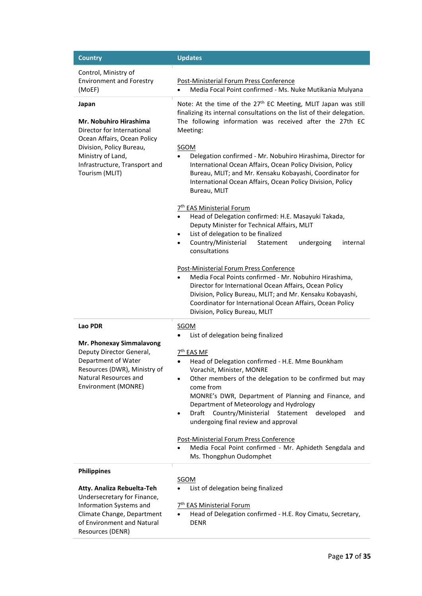| <b>Country</b>                                                                                                                                                                                   | <b>Updates</b>                                                                                                                                                                                                                                                                                                                                                                                                                                                                                                                                                                                                                                                                                                                                                                                                     |
|--------------------------------------------------------------------------------------------------------------------------------------------------------------------------------------------------|--------------------------------------------------------------------------------------------------------------------------------------------------------------------------------------------------------------------------------------------------------------------------------------------------------------------------------------------------------------------------------------------------------------------------------------------------------------------------------------------------------------------------------------------------------------------------------------------------------------------------------------------------------------------------------------------------------------------------------------------------------------------------------------------------------------------|
| Control, Ministry of<br><b>Environment and Forestry</b><br>(MoEF)                                                                                                                                | Post-Ministerial Forum Press Conference<br>Media Focal Point confirmed - Ms. Nuke Mutikania Mulyana                                                                                                                                                                                                                                                                                                                                                                                                                                                                                                                                                                                                                                                                                                                |
| Japan<br>Mr. Nobuhiro Hirashima<br>Director for International<br>Ocean Affairs, Ocean Policy<br>Division, Policy Bureau,<br>Ministry of Land,<br>Infrastructure, Transport and<br>Tourism (MLIT) | Note: At the time of the 27 <sup>th</sup> EC Meeting, MLIT Japan was still<br>finalizing its internal consultations on the list of their delegation.<br>The following information was received after the 27th EC<br>Meeting:<br>SGOM<br>Delegation confirmed - Mr. Nobuhiro Hirashima, Director for<br>$\bullet$<br>International Ocean Affairs, Ocean Policy Division, Policy<br>Bureau, MLIT; and Mr. Kensaku Kobayashi, Coordinator for<br>International Ocean Affairs, Ocean Policy Division, Policy<br>Bureau, MLIT<br>7 <sup>th</sup> EAS Ministerial Forum<br>Head of Delegation confirmed: H.E. Masayuki Takada,<br>$\bullet$<br>Deputy Minister for Technical Affairs, MLIT<br>List of delegation to be finalized<br>$\bullet$<br>Country/Ministerial<br>undergoing<br>internal<br>Statement<br>$\bullet$ |
|                                                                                                                                                                                                  | consultations<br>Post-Ministerial Forum Press Conference<br>Media Focal Points confirmed - Mr. Nobuhiro Hirashima,<br>Director for International Ocean Affairs, Ocean Policy<br>Division, Policy Bureau, MLIT; and Mr. Kensaku Kobayashi,<br>Coordinator for International Ocean Affairs, Ocean Policy<br>Division, Policy Bureau, MLIT                                                                                                                                                                                                                                                                                                                                                                                                                                                                            |
| Lao PDR<br>Mr. Phonexay Simmalavong<br>Deputy Director General,<br>Department of Water<br>Resources (DWR), Ministry of<br>Natural Resources and<br>Environment (MONRE)                           | SGOM<br>List of delegation being finalized<br>7 <sup>th</sup> EAS MF<br>Head of Delegation confirmed - H.E. Mme Bounkham<br>$\bullet$<br>Vorachit, Minister, MONRE<br>Other members of the delegation to be confirmed but may<br>come from<br>MONRE's DWR, Department of Planning and Finance, and<br>Department of Meteorology and Hydrology<br>Draft<br>Country/Ministerial Statement<br>developed<br>and<br>$\bullet$<br>undergoing final review and approval<br>Post-Ministerial Forum Press Conference<br>Media Focal Point confirmed - Mr. Aphideth Sengdala and<br>Ms. Thongphun Oudomphet                                                                                                                                                                                                                  |
| <b>Philippines</b><br>Atty. Analiza Rebuelta-Teh<br>Undersecretary for Finance,<br>Information Systems and<br>Climate Change, Department<br>of Environment and Natural<br>Resources (DENR)       | <b>SGOM</b><br>List of delegation being finalized<br>7 <sup>th</sup> EAS Ministerial Forum<br>Head of Delegation confirmed - H.E. Roy Cimatu, Secretary,<br><b>DENR</b>                                                                                                                                                                                                                                                                                                                                                                                                                                                                                                                                                                                                                                            |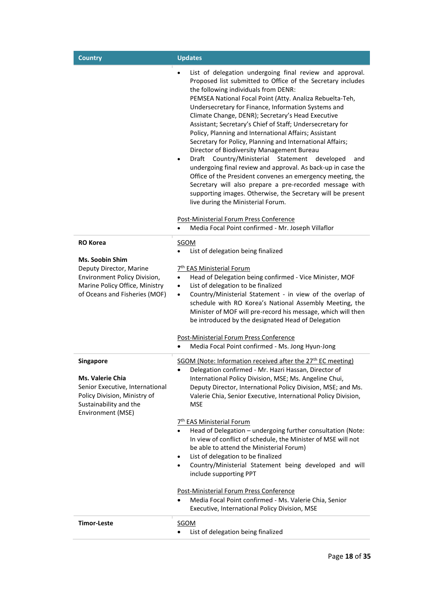| <b>Country</b>                                                                                                                                         | <b>Updates</b>                                                                                                                                                                                                                                                                                                                                                                                                                                                                                                                                                                                                                                                                                                                                                                                                                                                                                                                                                                                                                                                            |
|--------------------------------------------------------------------------------------------------------------------------------------------------------|---------------------------------------------------------------------------------------------------------------------------------------------------------------------------------------------------------------------------------------------------------------------------------------------------------------------------------------------------------------------------------------------------------------------------------------------------------------------------------------------------------------------------------------------------------------------------------------------------------------------------------------------------------------------------------------------------------------------------------------------------------------------------------------------------------------------------------------------------------------------------------------------------------------------------------------------------------------------------------------------------------------------------------------------------------------------------|
|                                                                                                                                                        | List of delegation undergoing final review and approval.<br>$\bullet$<br>Proposed list submitted to Office of the Secretary includes<br>the following individuals from DENR:<br>PEMSEA National Focal Point (Atty. Analiza Rebuelta-Teh,<br>Undersecretary for Finance, Information Systems and<br>Climate Change, DENR); Secretary's Head Executive<br>Assistant; Secretary's Chief of Staff; Undersecretary for<br>Policy, Planning and International Affairs; Assistant<br>Secretary for Policy, Planning and International Affairs;<br>Director of Biodiversity Management Bureau<br>Draft Country/Ministerial Statement<br>developed<br>and<br>$\bullet$<br>undergoing final review and approval. As back-up in case the<br>Office of the President convenes an emergency meeting, the<br>Secretary will also prepare a pre-recorded message with<br>supporting images. Otherwise, the Secretary will be present<br>live during the Ministerial Forum.<br>Post-Ministerial Forum Press Conference<br>Media Focal Point confirmed - Mr. Joseph Villaflor<br>$\bullet$ |
| <b>RO Korea</b>                                                                                                                                        | SGOM                                                                                                                                                                                                                                                                                                                                                                                                                                                                                                                                                                                                                                                                                                                                                                                                                                                                                                                                                                                                                                                                      |
| Ms. Soobin Shim<br>Deputy Director, Marine<br>Environment Policy Division,<br>Marine Policy Office, Ministry<br>of Oceans and Fisheries (MOF)          | List of delegation being finalized<br>7 <sup>th</sup> EAS Ministerial Forum<br>Head of Delegation being confirmed - Vice Minister, MOF<br>List of delegation to be finalized<br>٠<br>Country/Ministerial Statement - in view of the overlap of<br>$\bullet$<br>schedule with RO Korea's National Assembly Meeting, the<br>Minister of MOF will pre-record his message, which will then<br>be introduced by the designated Head of Delegation                                                                                                                                                                                                                                                                                                                                                                                                                                                                                                                                                                                                                              |
|                                                                                                                                                        | Post-Ministerial Forum Press Conference                                                                                                                                                                                                                                                                                                                                                                                                                                                                                                                                                                                                                                                                                                                                                                                                                                                                                                                                                                                                                                   |
|                                                                                                                                                        | Media Focal Point confirmed - Ms. Jong Hyun-Jong                                                                                                                                                                                                                                                                                                                                                                                                                                                                                                                                                                                                                                                                                                                                                                                                                                                                                                                                                                                                                          |
| Singapore<br><b>Ms. Valerie Chia</b><br>Senior Executive, International<br>Policy Division, Ministry of<br>Sustainability and the<br>Environment (MSE) | SGOM (Note: Information received after the 27 <sup>th</sup> EC meeting)<br>Delegation confirmed - Mr. Hazri Hassan, Director of<br>International Policy Division, MSE; Ms. Angeline Chui,<br>Deputy Director, International Policy Division, MSE; and Ms.<br>Valerie Chia, Senior Executive, International Policy Division,<br><b>MSE</b>                                                                                                                                                                                                                                                                                                                                                                                                                                                                                                                                                                                                                                                                                                                                 |
|                                                                                                                                                        | 7 <sup>th</sup> EAS Ministerial Forum<br>Head of Delegation - undergoing further consultation (Note:<br>In view of conflict of schedule, the Minister of MSE will not<br>be able to attend the Ministerial Forum)<br>List of delegation to be finalized<br>٠<br>Country/Ministerial Statement being developed and will<br>$\bullet$<br>include supporting PPT<br>Post-Ministerial Forum Press Conference<br>Media Focal Point confirmed - Ms. Valerie Chia, Senior<br>$\bullet$                                                                                                                                                                                                                                                                                                                                                                                                                                                                                                                                                                                           |
|                                                                                                                                                        | Executive, International Policy Division, MSE                                                                                                                                                                                                                                                                                                                                                                                                                                                                                                                                                                                                                                                                                                                                                                                                                                                                                                                                                                                                                             |
|                                                                                                                                                        |                                                                                                                                                                                                                                                                                                                                                                                                                                                                                                                                                                                                                                                                                                                                                                                                                                                                                                                                                                                                                                                                           |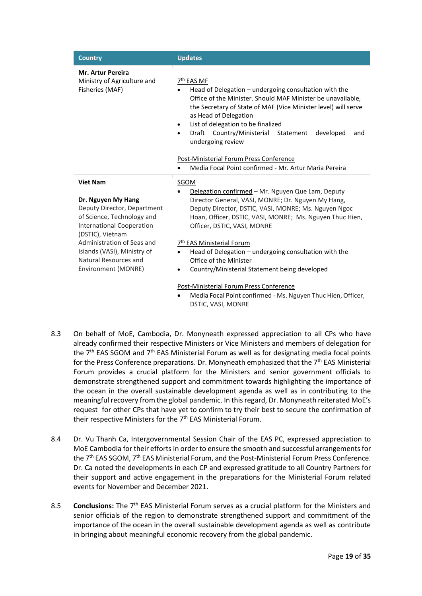| <b>Country</b>                                                                                                                                                                           | <b>Updates</b>                                                                                                                                                                                                                                                                                                                                                                                                                                                                                   |  |
|------------------------------------------------------------------------------------------------------------------------------------------------------------------------------------------|--------------------------------------------------------------------------------------------------------------------------------------------------------------------------------------------------------------------------------------------------------------------------------------------------------------------------------------------------------------------------------------------------------------------------------------------------------------------------------------------------|--|
| <b>Mr. Artur Pereira</b><br>Ministry of Agriculture and<br>Fisheries (MAF)                                                                                                               | 7 <sup>th</sup> EAS MF<br>Head of Delegation – undergoing consultation with the<br>Office of the Minister. Should MAF Minister be unavailable,<br>the Secretary of State of MAF (Vice Minister level) will serve<br>as Head of Delegation<br>List of delegation to be finalized<br>$\bullet$<br>Draft Country/Ministerial<br>Statement<br>developed<br>and<br>$\bullet$<br>undergoing review<br>Post-Ministerial Forum Press Conference<br>Media Focal Point confirmed - Mr. Artur Maria Pereira |  |
| <b>Viet Nam</b><br>Dr. Nguyen My Hang<br>Deputy Director, Department<br>of Science, Technology and<br><b>International Cooperation</b><br>(DSTIC), Vietnam<br>Administration of Seas and | SGOM<br>Delegation confirmed - Mr. Nguyen Que Lam, Deputy<br>Director General, VASI, MONRE; Dr. Nguyen My Hang,<br>Deputy Director, DSTIC, VASI, MONRE; Ms. Nguyen Ngoc<br>Hoan, Officer, DSTIC, VASI, MONRE; Ms. Nguyen Thuc Hien,<br>Officer, DSTIC, VASI, MONRE<br>7 <sup>th</sup> EAS Ministerial Forum                                                                                                                                                                                      |  |
| Islands (VASI), Ministry of<br>Natural Resources and<br>Environment (MONRE)                                                                                                              | Head of Delegation – undergoing consultation with the<br>$\bullet$<br>Office of the Minister<br>Country/Ministerial Statement being developed<br>$\bullet$<br>Post-Ministerial Forum Press Conference<br>Media Focal Point confirmed - Ms. Nguyen Thuc Hien, Officer,<br>DSTIC, VASI, MONRE                                                                                                                                                                                                      |  |

- 8.3 On behalf of MoE, Cambodia, Dr. Monyneath expressed appreciation to all CPs who have already confirmed their respective Ministers or Vice Ministers and members of delegation for the  $7<sup>th</sup>$  EAS SGOM and  $7<sup>th</sup>$  EAS Ministerial Forum as well as for designating media focal points for the Press Conference preparations. Dr. Monyneath emphasized that the  $7<sup>th</sup>$  EAS Ministerial Forum provides a crucial platform for the Ministers and senior government officials to demonstrate strengthened support and commitment towards highlighting the importance of the ocean in the overall sustainable development agenda as well as in contributing to the meaningful recovery from the global pandemic. In this regard, Dr. Monyneath reiterated MoE's request for other CPs that have yet to confirm to try their best to secure the confirmation of their respective Ministers for the 7<sup>th</sup> EAS Ministerial Forum.
- 8.4 Dr. Vu Thanh Ca, Intergovernmental Session Chair of the EAS PC, expressed appreciation to MoE Cambodia for their efforts in order to ensure the smooth and successful arrangements for the 7<sup>th</sup> EAS SGOM, 7<sup>th</sup> EAS Ministerial Forum, and the Post-Ministerial Forum Press Conference. Dr. Ca noted the developments in each CP and expressed gratitude to all Country Partners for their support and active engagement in the preparations for the Ministerial Forum related events for November and December 2021.
- 8.5 **Conclusions:** The 7<sup>th</sup> EAS Ministerial Forum serves as a crucial platform for the Ministers and senior officials of the region to demonstrate strengthened support and commitment of the importance of the ocean in the overall sustainable development agenda as well as contribute in bringing about meaningful economic recovery from the global pandemic.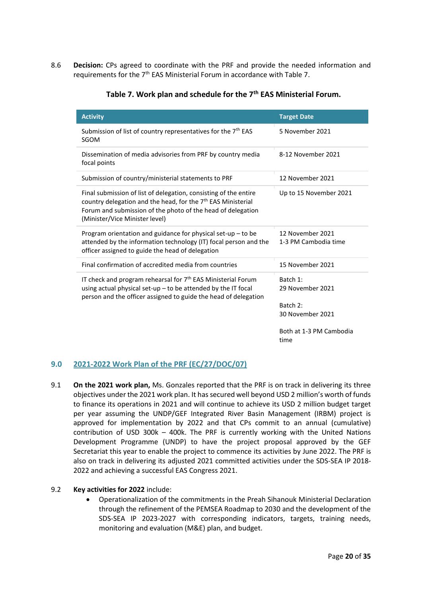8.6 **Decision:** CPs agreed to coordinate with the PRF and provide the needed information and requirements for the  $7<sup>th</sup>$  EAS Ministerial Forum in accordance with Table 7.

| <b>Activity</b>                                                                                                                                                                                                                               | <b>Target Date</b>                                           |
|-----------------------------------------------------------------------------------------------------------------------------------------------------------------------------------------------------------------------------------------------|--------------------------------------------------------------|
| Submission of list of country representatives for the 7 <sup>th</sup> EAS<br>SGOM                                                                                                                                                             | 5 November 2021                                              |
| Dissemination of media advisories from PRF by country media<br>focal points                                                                                                                                                                   | 8-12 November 2021                                           |
| Submission of country/ministerial statements to PRF                                                                                                                                                                                           | 12 November 2021                                             |
| Final submission of list of delegation, consisting of the entire<br>country delegation and the head, for the 7 <sup>th</sup> EAS Ministerial<br>Forum and submission of the photo of the head of delegation<br>(Minister/Vice Minister level) | Up to 15 November 2021                                       |
| Program orientation and guidance for physical set-up $-$ to be<br>attended by the information technology (IT) focal person and the<br>officer assigned to guide the head of delegation                                                        | 12 November 2021<br>1-3 PM Cambodia time                     |
| Final confirmation of accredited media from countries                                                                                                                                                                                         | 15 November 2021                                             |
| IT check and program rehearsal for 7 <sup>th</sup> EAS Ministerial Forum<br>using actual physical set-up - to be attended by the IT focal<br>person and the officer assigned to guide the head of delegation                                  | Batch 1:<br>29 November 2021<br>Batch 2:<br>30 November 2021 |
|                                                                                                                                                                                                                                               | Both at 1-3 PM Cambodia<br>time                              |

**Table 7. Work plan and schedule for the 7th EAS Ministerial Forum.**

#### <span id="page-19-0"></span>**9.0 2021-2022 Work Plan of the PRF (EC/27/DOC/07)**

9.1 **On the 2021 work plan,** Ms. Gonzales reported that the PRF is on track in delivering its three objectives under the 2021 work plan. It has secured well beyond USD 2 million's worth of funds to finance its operations in 2021 and will continue to achieve its USD 2 million budget target per year assuming the UNDP/GEF Integrated River Basin Management (IRBM) project is approved for implementation by 2022 and that CPs commit to an annual (cumulative) contribution of USD 300k – 400k. The PRF is currently working with the United Nations Development Programme (UNDP) to have the project proposal approved by the GEF Secretariat this year to enable the project to commence its activities by June 2022. The PRF is also on track in delivering its adjusted 2021 committed activities under the SDS-SEA IP 2018- 2022 and achieving a successful EAS Congress 2021.

#### 9.2 **Key activities for 2022** include:

• Operationalization of the commitments in the Preah Sihanouk Ministerial Declaration through the refinement of the PEMSEA Roadmap to 2030 and the development of the SDS-SEA IP 2023-2027 with corresponding indicators, targets, training needs, monitoring and evaluation (M&E) plan, and budget.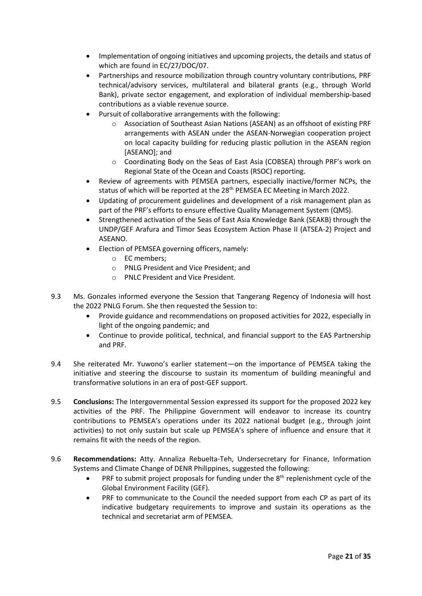- Implementation of ongoing initiatives and upcoming projects, the details and status of which are found in EC/27/DOC/07.
- Partnerships and resource mobilization through country voluntary contributions, PRF technical/advisory services, multilateral and bilateral grants (e.g., through World Bank), private sector engagement, and exploration of individual membership-based contributions as a viable revenue source.
- Pursuit of collaborative arrangements with the following:
	- o Association of Southeast Asian Nations (ASEAN) as an offshoot of existing PRF arrangements with ASEAN under the ASEAN-Norwegian cooperation project on local capacity building for reducing plastic pollution in the ASEAN region [ASEANO]; and
	- o Coordinating Body on the Seas of East Asia (COBSEA) through PRF's work on Regional State of the Ocean and Coasts (RSOC) reporting.
- Review of agreements with PEMSEA partners, especially inactive/former NCPs, the status of which will be reported at the 28<sup>th</sup> PEMSEA EC Meeting in March 2022.
- Updating of procurement guidelines and development of a risk management plan as part of the PRF's efforts to ensure effective Quality Management System (QMS).
- Strengthened activation of the Seas of East Asia Knowledge Bank (SEAKB) through the UNDP/GEF Arafura and Timor Seas Ecosystem Action Phase II (ATSEA-2) Project and ASEANO.
- Election of PEMSEA governing officers, namely:
	- o EC members;
	- o PNLG President and Vice President; and
	- o PNLC President and Vice President.
- 9.3 Ms. Gonzales informed everyone the Session that Tangerang Regency of Indonesia will host the 2022 PNLG Forum. She then requested the Session to:
	- Provide guidance and recommendations on proposed activities for 2022, especially in light of the ongoing pandemic; and
	- Continue to provide political, technical, and financial support to the EAS Partnership and PRF.
- 9.4 She reiterated Mr. Yuwono's earlier statement—on the importance of PEMSEA taking the initiative and steering the discourse to sustain its momentum of building meaningful and transformative solutions in an era of post-GEF support.
- 9.5 **Conclusions:** The Intergovernmental Session expressed its support for the proposed 2022 key activities of the PRF. The Philippine Government will endeavor to increase its country contributions to PEMSEA's operations under its 2022 national budget (e.g., through joint activities) to not only sustain but scale up PEMSEA's sphere of influence and ensure that it remains fit with the needs of the region.
- 9.6 **Recommendations:** Atty. Annaliza Rebuelta-Teh, Undersecretary for Finance, Information Systems and Climate Change of DENR Philippines, suggested the following:
	- PRF to submit project proposals for funding under the  $8<sup>th</sup>$  replenishment cycle of the Global Environment Facility (GEF).
	- PRF to communicate to the Council the needed support from each CP as part of its indicative budgetary requirements to improve and sustain its operations as the technical and secretariat arm of PEMSEA.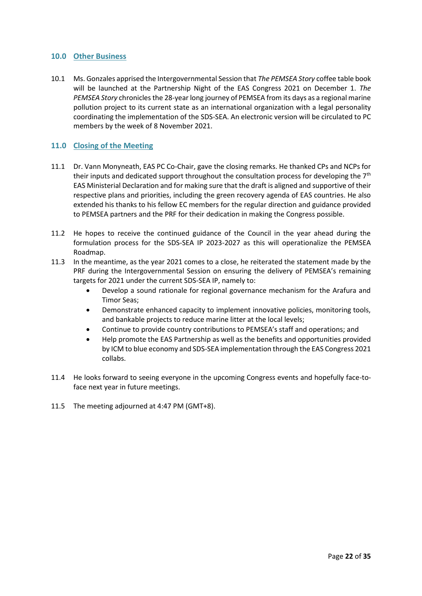#### <span id="page-21-0"></span>**10.0 Other Business**

10.1 Ms. Gonzales apprised the Intergovernmental Session that *The PEMSEA Story* coffee table book will be launched at the Partnership Night of the EAS Congress 2021 on December 1. *The PEMSEA Story* chronicles the 28-year long journey of PEMSEA from its days as a regional marine pollution project to its current state as an international organization with a legal personality coordinating the implementation of the SDS-SEA. An electronic version will be circulated to PC members by the week of 8 November 2021.

#### <span id="page-21-1"></span>**11.0 Closing of the Meeting**

- 11.1 Dr. Vann Monyneath, EAS PC Co-Chair, gave the closing remarks. He thanked CPs and NCPs for their inputs and dedicated support throughout the consultation process for developing the  $7<sup>th</sup>$ EAS Ministerial Declaration and for making sure that the draft is aligned and supportive of their respective plans and priorities, including the green recovery agenda of EAS countries. He also extended his thanks to his fellow EC members for the regular direction and guidance provided to PEMSEA partners and the PRF for their dedication in making the Congress possible.
- 11.2 He hopes to receive the continued guidance of the Council in the year ahead during the formulation process for the SDS-SEA IP 2023-2027 as this will operationalize the PEMSEA Roadmap.
- 11.3 In the meantime, as the year 2021 comes to a close, he reiterated the statement made by the PRF during the Intergovernmental Session on ensuring the delivery of PEMSEA's remaining targets for 2021 under the current SDS-SEA IP, namely to:
	- Develop a sound rationale for regional governance mechanism for the Arafura and Timor Seas;
	- Demonstrate enhanced capacity to implement innovative policies, monitoring tools, and bankable projects to reduce marine litter at the local levels;
	- Continue to provide country contributions to PEMSEA's staff and operations; and
	- Help promote the EAS Partnership as well as the benefits and opportunities provided by ICM to blue economy and SDS-SEA implementation through the EAS Congress 2021 collabs.
- 11.4 He looks forward to seeing everyone in the upcoming Congress events and hopefully face-toface next year in future meetings.
- 11.5 The meeting adjourned at 4:47 PM (GMT+8).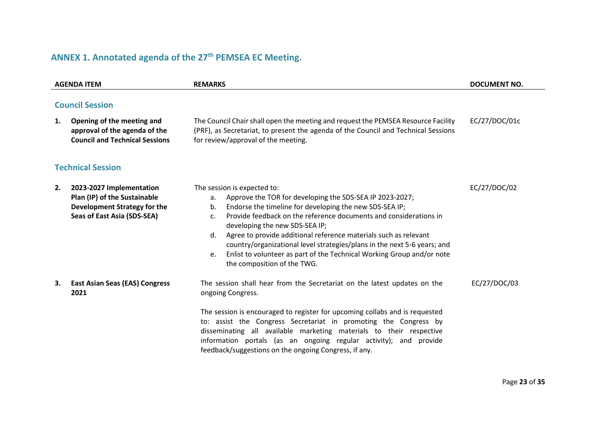# **ANNEX 1. Annotated agenda of the 27th PEMSEA EC Meeting.**

<span id="page-22-0"></span>

|    | <b>AGENDA ITEM</b>                                                                                                             | <b>REMARKS</b>                                                                                                                                                                                                                                                                                                                                                                                                                                                                                                                                   | DOCUMENT NO.  |
|----|--------------------------------------------------------------------------------------------------------------------------------|--------------------------------------------------------------------------------------------------------------------------------------------------------------------------------------------------------------------------------------------------------------------------------------------------------------------------------------------------------------------------------------------------------------------------------------------------------------------------------------------------------------------------------------------------|---------------|
| 1. | <b>Council Session</b><br>Opening of the meeting and<br>approval of the agenda of the<br><b>Council and Technical Sessions</b> | The Council Chair shall open the meeting and request the PEMSEA Resource Facility<br>(PRF), as Secretariat, to present the agenda of the Council and Technical Sessions<br>for review/approval of the meeting.                                                                                                                                                                                                                                                                                                                                   | EC/27/DOC/01c |
|    | <b>Technical Session</b>                                                                                                       |                                                                                                                                                                                                                                                                                                                                                                                                                                                                                                                                                  |               |
| 2. | 2023-2027 Implementation<br>Plan (IP) of the Sustainable<br>Development Strategy for the<br>Seas of East Asia (SDS-SEA)        | The session is expected to:<br>Approve the TOR for developing the SDS-SEA IP 2023-2027;<br>a.<br>Endorse the timeline for developing the new SDS-SEA IP;<br>b.<br>Provide feedback on the reference documents and considerations in<br>c.<br>developing the new SDS-SEA IP;<br>Agree to provide additional reference materials such as relevant<br>d.<br>country/organizational level strategies/plans in the next 5-6 years; and<br>Enlist to volunteer as part of the Technical Working Group and/or note<br>e.<br>the composition of the TWG. | EC/27/DOC/02  |
| 3. | <b>East Asian Seas (EAS) Congress</b><br>2021                                                                                  | The session shall hear from the Secretariat on the latest updates on the<br>ongoing Congress.<br>The session is encouraged to register for upcoming collabs and is requested<br>to: assist the Congress Secretariat in promoting the Congress by<br>disseminating all available marketing materials to their respective<br>information portals (as an ongoing regular activity); and provide<br>feedback/suggestions on the ongoing Congress, if any.                                                                                            | EC/27/DOC/03  |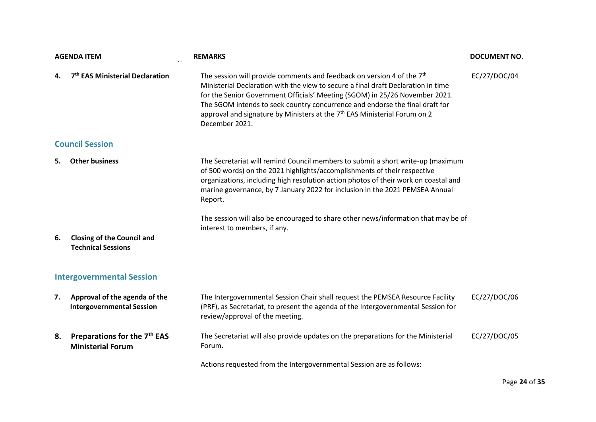|          | <b>AGENDA ITEM</b>                                                                      | <b>REMARKS</b>                                                                                                                                                                                                                                                                                                                                                                                                                                                      | <b>DOCUMENT NO.</b> |
|----------|-----------------------------------------------------------------------------------------|---------------------------------------------------------------------------------------------------------------------------------------------------------------------------------------------------------------------------------------------------------------------------------------------------------------------------------------------------------------------------------------------------------------------------------------------------------------------|---------------------|
| 4.       | 7 <sup>th</sup> EAS Ministerial Declaration                                             | The session will provide comments and feedback on version 4 of the 7 <sup>th</sup><br>Ministerial Declaration with the view to secure a final draft Declaration in time<br>for the Senior Government Officials' Meeting (SGOM) in 25/26 November 2021.<br>The SGOM intends to seek country concurrence and endorse the final draft for<br>approval and signature by Ministers at the 7 <sup>th</sup> EAS Ministerial Forum on 2<br>December 2021.                   |                     |
|          | <b>Council Session</b>                                                                  |                                                                                                                                                                                                                                                                                                                                                                                                                                                                     |                     |
| 5.<br>6. | <b>Other business</b><br><b>Closing of the Council and</b><br><b>Technical Sessions</b> | The Secretariat will remind Council members to submit a short write-up (maximum<br>of 500 words) on the 2021 highlights/accomplishments of their respective<br>organizations, including high resolution action photos of their work on coastal and<br>marine governance, by 7 January 2022 for inclusion in the 2021 PEMSEA Annual<br>Report.<br>The session will also be encouraged to share other news/information that may be of<br>interest to members, if any. |                     |
|          | <b>Intergovernmental Session</b>                                                        |                                                                                                                                                                                                                                                                                                                                                                                                                                                                     |                     |
|          |                                                                                         |                                                                                                                                                                                                                                                                                                                                                                                                                                                                     |                     |
| 7.       | Approval of the agenda of the<br><b>Intergovernmental Session</b>                       | The Intergovernmental Session Chair shall request the PEMSEA Resource Facility<br>(PRF), as Secretariat, to present the agenda of the Intergovernmental Session for<br>review/approval of the meeting.                                                                                                                                                                                                                                                              | EC/27/DOC/06        |
| 8.       | Preparations for the 7 <sup>th</sup> EAS<br><b>Ministerial Forum</b>                    | The Secretariat will also provide updates on the preparations for the Ministerial<br>Forum.                                                                                                                                                                                                                                                                                                                                                                         | EC/27/DOC/05        |
|          |                                                                                         | Actions requested from the Intergovernmental Session are as follows:                                                                                                                                                                                                                                                                                                                                                                                                |                     |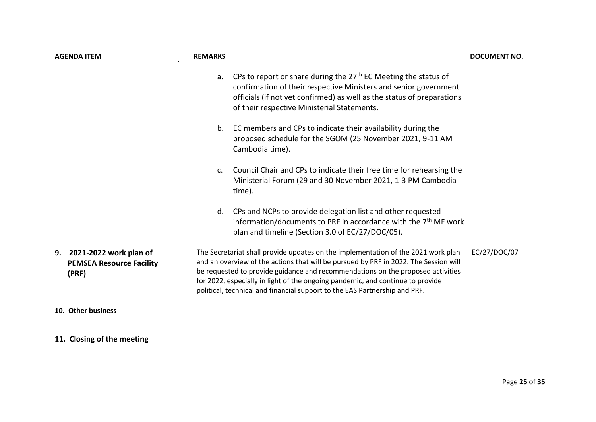| <b>AGENDA ITEM</b>                                                    | <b>REMARKS</b> |                                                                                                                                                                                                                                                                                                                                                                                                                              | <b>DOCUMENT NO.</b> |
|-----------------------------------------------------------------------|----------------|------------------------------------------------------------------------------------------------------------------------------------------------------------------------------------------------------------------------------------------------------------------------------------------------------------------------------------------------------------------------------------------------------------------------------|---------------------|
|                                                                       | a.             | CPs to report or share during the 27 <sup>th</sup> EC Meeting the status of<br>confirmation of their respective Ministers and senior government<br>officials (if not yet confirmed) as well as the status of preparations<br>of their respective Ministerial Statements.                                                                                                                                                     |                     |
|                                                                       | b.             | EC members and CPs to indicate their availability during the<br>proposed schedule for the SGOM (25 November 2021, 9-11 AM<br>Cambodia time).                                                                                                                                                                                                                                                                                 |                     |
|                                                                       | c.             | Council Chair and CPs to indicate their free time for rehearsing the<br>Ministerial Forum (29 and 30 November 2021, 1-3 PM Cambodia<br>time).                                                                                                                                                                                                                                                                                |                     |
|                                                                       | d.             | CPs and NCPs to provide delegation list and other requested<br>information/documents to PRF in accordance with the $7th$ MF work<br>plan and timeline (Section 3.0 of EC/27/DOC/05).                                                                                                                                                                                                                                         |                     |
| 9. 2021-2022 work plan of<br><b>PEMSEA Resource Facility</b><br>(PRF) |                | The Secretariat shall provide updates on the implementation of the 2021 work plan<br>and an overview of the actions that will be pursued by PRF in 2022. The Session will<br>be requested to provide guidance and recommendations on the proposed activities<br>for 2022, especially in light of the ongoing pandemic, and continue to provide<br>political, technical and financial support to the EAS Partnership and PRF. |                     |
| 10. Other business                                                    |                |                                                                                                                                                                                                                                                                                                                                                                                                                              |                     |

**11. Closing of the meeting**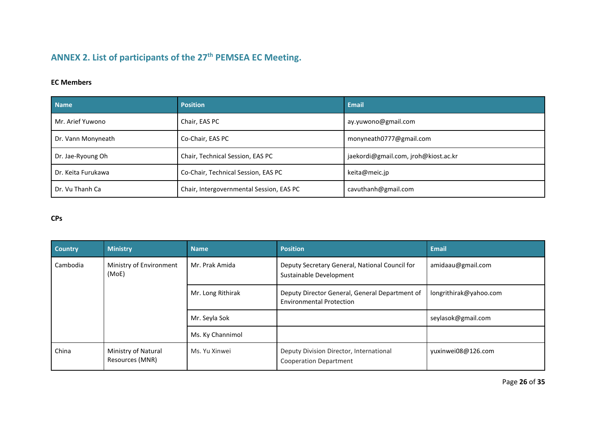# **ANNEX 2. List of participants of the 27th PEMSEA EC Meeting.**

#### **EC Members**

| <b>Position</b><br><b>Name</b> |                                          | <b>Email</b>                         |
|--------------------------------|------------------------------------------|--------------------------------------|
| Mr. Arief Yuwono               | Chair, EAS PC                            | ay.yuwono@gmail.com                  |
| Dr. Vann Monyneath             | Co-Chair, EAS PC                         | monyneath0777@gmail.com              |
| Dr. Jae-Ryoung Oh              | Chair, Technical Session, EAS PC         | jaekordi@gmail.com, jroh@kiost.ac.kr |
| Dr. Keita Furukawa             | Co-Chair, Technical Session, EAS PC      | keita@meic.jp                        |
| Dr. Vu Thanh Ca                | Chair, Intergovernmental Session, EAS PC | cavuthanh@gmail.com                  |

#### <span id="page-25-0"></span>**CPs**

| <b>Country</b>                               | <b>Ministry</b>                        | <b>Name</b>       | <b>Position</b>                                                                   | Email                  |
|----------------------------------------------|----------------------------------------|-------------------|-----------------------------------------------------------------------------------|------------------------|
| Ministry of Environment<br>Cambodia<br>(MoE) |                                        | Mr. Prak Amida    | Deputy Secretary General, National Council for<br>Sustainable Development         | amidaau@gmail.com      |
|                                              |                                        | Mr. Long Rithirak | Deputy Director General, General Department of<br><b>Environmental Protection</b> | longrithirak@yahoo.com |
|                                              |                                        | Mr. Seyla Sok     |                                                                                   | seylasok@gmail.com     |
|                                              |                                        | Ms. Ky Channimol  |                                                                                   |                        |
| China                                        | Ministry of Natural<br>Resources (MNR) | Ms. Yu Xinwei     | Deputy Division Director, International<br><b>Cooperation Department</b>          | yuxinwei08@126.com     |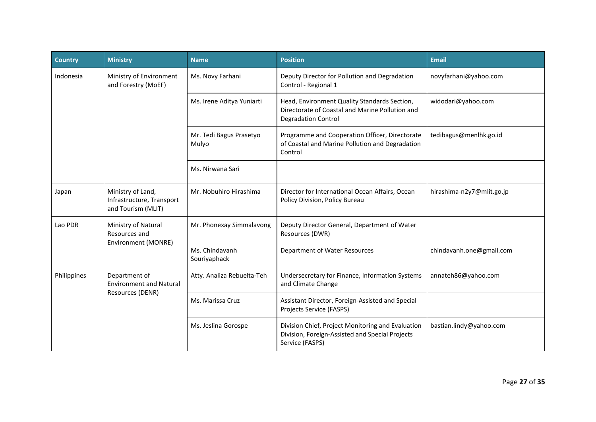| <b>Country</b> | <b>Ministry</b>                                                      | <b>Name</b>                      | <b>Position</b>                                                                                                               | <b>Email</b>              |
|----------------|----------------------------------------------------------------------|----------------------------------|-------------------------------------------------------------------------------------------------------------------------------|---------------------------|
| Indonesia      | Ministry of Environment<br>and Forestry (MoEF)                       | Ms. Novy Farhani                 | Deputy Director for Pollution and Degradation<br>Control - Regional 1                                                         | novyfarhani@yahoo.com     |
|                |                                                                      | Ms. Irene Aditya Yuniarti        | Head, Environment Quality Standards Section,<br>Directorate of Coastal and Marine Pollution and<br><b>Degradation Control</b> | widodari@yahoo.com        |
|                |                                                                      | Mr. Tedi Bagus Prasetyo<br>Mulyo | Programme and Cooperation Officer, Directorate<br>of Coastal and Marine Pollution and Degradation<br>Control                  | tedibagus@menlhk.go.id    |
|                |                                                                      | Ms. Nirwana Sari                 |                                                                                                                               |                           |
| Japan          | Ministry of Land,<br>Infrastructure, Transport<br>and Tourism (MLIT) | Mr. Nobuhiro Hirashima           | Director for International Ocean Affairs, Ocean<br>Policy Division, Policy Bureau                                             | hirashima-n2y7@mlit.go.jp |
| Lao PDR        | Ministry of Natural<br>Resources and<br>Environment (MONRE)          | Mr. Phonexay Simmalavong         | Deputy Director General, Department of Water<br>Resources (DWR)                                                               |                           |
|                |                                                                      | Ms. Chindavanh<br>Souriyaphack   | Department of Water Resources                                                                                                 | chindavanh.one@gmail.com  |
| Philippines    | Department of<br><b>Environment and Natural</b><br>Resources (DENR)  | Atty. Analiza Rebuelta-Teh       | Undersecretary for Finance, Information Systems<br>and Climate Change                                                         | annateh86@yahoo.com       |
|                |                                                                      | Ms. Marissa Cruz                 | Assistant Director, Foreign-Assisted and Special<br>Projects Service (FASPS)                                                  |                           |
|                |                                                                      | Ms. Jeslina Gorospe              | Division Chief, Project Monitoring and Evaluation<br>Division, Foreign-Assisted and Special Projects<br>Service (FASPS)       | bastian.lindy@yahoo.com   |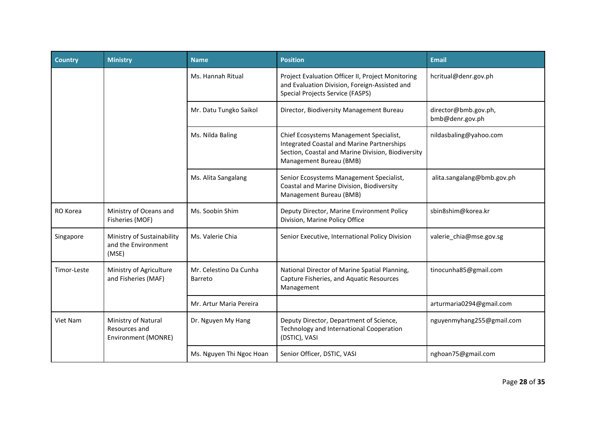| <b>Country</b> | <b>Ministry</b>                                             | <b>Name</b>                              | <b>Position</b>                                                                                                                                                               | <b>Email</b>                            |
|----------------|-------------------------------------------------------------|------------------------------------------|-------------------------------------------------------------------------------------------------------------------------------------------------------------------------------|-----------------------------------------|
|                |                                                             | Ms. Hannah Ritual                        | Project Evaluation Officer II, Project Monitoring<br>and Evaluation Division, Foreign-Assisted and<br>Special Projects Service (FASPS)                                        | hcritual@denr.gov.ph                    |
|                |                                                             | Mr. Datu Tungko Saikol                   | Director, Biodiversity Management Bureau                                                                                                                                      | director@bmb.gov.ph,<br>bmb@denr.gov.ph |
|                |                                                             | Ms. Nilda Baling                         | Chief Ecosystems Management Specialist,<br><b>Integrated Coastal and Marine Partnerships</b><br>Section, Coastal and Marine Division, Biodiversity<br>Management Bureau (BMB) | nildasbaling@yahoo.com                  |
|                |                                                             | Ms. Alita Sangalang                      | Senior Ecosystems Management Specialist,<br>Coastal and Marine Division, Biodiversity<br>Management Bureau (BMB)                                                              | alita.sangalang@bmb.gov.ph              |
| RO Korea       | Ministry of Oceans and<br>Fisheries (MOF)                   | Ms. Soobin Shim                          | Deputy Director, Marine Environment Policy<br>Division, Marine Policy Office                                                                                                  | sbin8shim@korea.kr                      |
| Singapore      | Ministry of Sustainability<br>and the Environment<br>(MSE)  | Ms. Valerie Chia                         | Senior Executive, International Policy Division                                                                                                                               | valerie chia@mse.gov.sg                 |
| Timor-Leste    | Ministry of Agriculture<br>and Fisheries (MAF)              | Mr. Celestino Da Cunha<br><b>Barreto</b> | National Director of Marine Spatial Planning,<br>Capture Fisheries, and Aquatic Resources<br>Management                                                                       | tinocunha85@gmail.com                   |
|                |                                                             | Mr. Artur Maria Pereira                  |                                                                                                                                                                               | arturmaria0294@gmail.com                |
| Viet Nam       | Ministry of Natural<br>Resources and<br>Environment (MONRE) | Dr. Nguyen My Hang                       | Deputy Director, Department of Science,<br>Technology and International Cooperation<br>(DSTIC), VASI                                                                          | nguyenmyhang255@gmail.com               |
|                |                                                             | Ms. Nguyen Thi Ngoc Hoan                 | Senior Officer, DSTIC, VASI                                                                                                                                                   | nghoan75@gmail.com                      |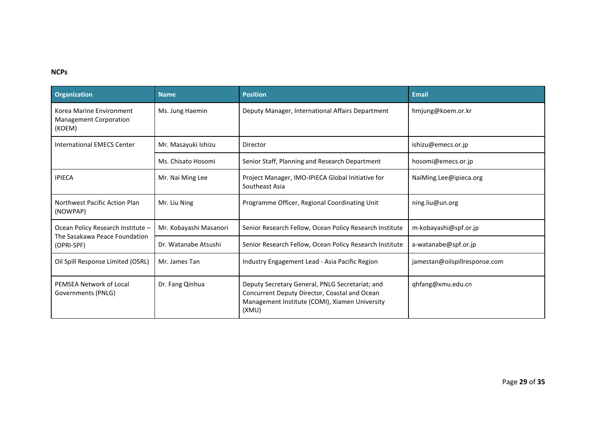#### **NCPs**

| Organization                                                        | <b>Name</b>            | <b>Position</b>                                                                                                                                             | <b>Email</b>                  |
|---------------------------------------------------------------------|------------------------|-------------------------------------------------------------------------------------------------------------------------------------------------------------|-------------------------------|
| Korea Marine Environment<br><b>Management Corporation</b><br>(KOEM) | Ms. Jung Haemin        | Deputy Manager, International Affairs Department                                                                                                            | hmjung@koem.or.kr             |
| International EMECS Center                                          | Mr. Masayuki Ishizu    | Director                                                                                                                                                    | ishizu@emecs.or.jp            |
|                                                                     | Ms. Chisato Hosomi     | Senior Staff, Planning and Research Department                                                                                                              | hosomi@emecs.or.jp            |
| <b>IPIECA</b>                                                       | Mr. Nai Ming Lee       | Project Manager, IMO-IPIECA Global Initiative for<br>Southeast Asia                                                                                         | NaiMing.Lee@ipieca.org        |
| Northwest Pacific Action Plan<br>(NOWPAP)                           | Mr. Liu Ning           | Programme Officer, Regional Coordinating Unit                                                                                                               | ning.liu@un.org               |
| Ocean Policy Research Institute -                                   | Mr. Kobayashi Masanori | Senior Research Fellow, Ocean Policy Research Institute                                                                                                     | m-kobayashi@spf.or.jp         |
| The Sasakawa Peace Foundation<br>(OPRI-SPF)                         | Dr. Watanabe Atsushi   | Senior Research Fellow, Ocean Policy Research Institute                                                                                                     | a-watanabe@spf.or.jp          |
| Oil Spill Response Limited (OSRL)                                   | Mr. James Tan          | Industry Engagement Lead - Asia Pacific Region                                                                                                              | jamestan@oilspillresponse.com |
| PEMSEA Network of Local<br>Governments (PNLG)                       | Dr. Fang Qinhua        | Deputy Secretary General, PNLG Secretariat; and<br>Concurrent Deputy Director, Coastal and Ocean<br>Management Institute (COMI), Xiamen University<br>(XMU) | qhfang@xmu.edu.cn             |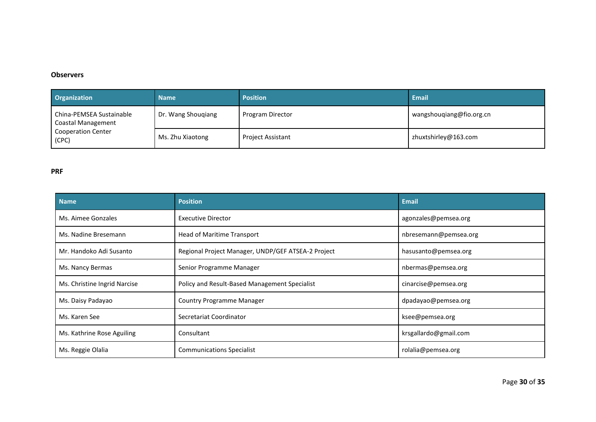#### **Observers**

| Organization                                   | <b>Name</b>        | <b>Position</b>   | <b>Email</b>             |
|------------------------------------------------|--------------------|-------------------|--------------------------|
| China-PEMSEA Sustainable<br>Coastal Management | Dr. Wang Shougiang | Program Director  | wangshouqiang@fio.org.cn |
| <b>Cooperation Center</b><br>(CPC)             | Ms. Zhu Xiaotong   | Project Assistant | zhuxtshirley@163.com     |

#### **PRF**

| <b>Name</b>                  | <b>Position</b>                                    | Email                 |
|------------------------------|----------------------------------------------------|-----------------------|
| Ms. Aimee Gonzales           | Executive Director                                 | agonzales@pemsea.org  |
| Ms. Nadine Bresemann         | Head of Maritime Transport                         | nbresemann@pemsea.org |
| Mr. Handoko Adi Susanto      | Regional Project Manager, UNDP/GEF ATSEA-2 Project | hasusanto@pemsea.org  |
| Ms. Nancy Bermas             | Senior Programme Manager                           | nbermas@pemsea.org    |
| Ms. Christine Ingrid Narcise | Policy and Result-Based Management Specialist      | cinarcise@pemsea.org  |
| Ms. Daisy Padayao            | <b>Country Programme Manager</b>                   | dpadayao@pemsea.org   |
| Ms. Karen See                | Secretariat Coordinator                            | ksee@pemsea.org       |
| Ms. Kathrine Rose Aguiling   | Consultant                                         | krsgallardo@gmail.com |
| Ms. Reggie Olalia            | <b>Communications Specialist</b>                   | rolalia@pemsea.org    |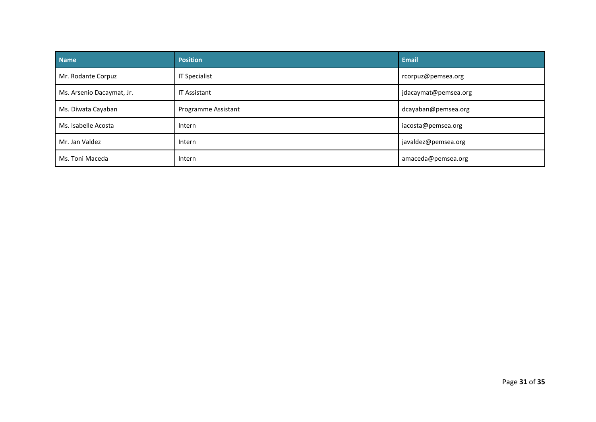| <b>Name</b>               | <b>Position</b>      | <b>Email</b>         |
|---------------------------|----------------------|----------------------|
| Mr. Rodante Corpuz        | <b>IT Specialist</b> | rcorpuz@pemsea.org   |
| Ms. Arsenio Dacaymat, Jr. | <b>IT Assistant</b>  | jdacaymat@pemsea.org |
| Ms. Diwata Cayaban        | Programme Assistant  | dcayaban@pemsea.org  |
| Ms. Isabelle Acosta       | Intern               | iacosta@pemsea.org   |
| Mr. Jan Valdez            | Intern               | javaldez@pemsea.org  |
| Ms. Toni Maceda           | Intern               | amaceda@pemsea.org   |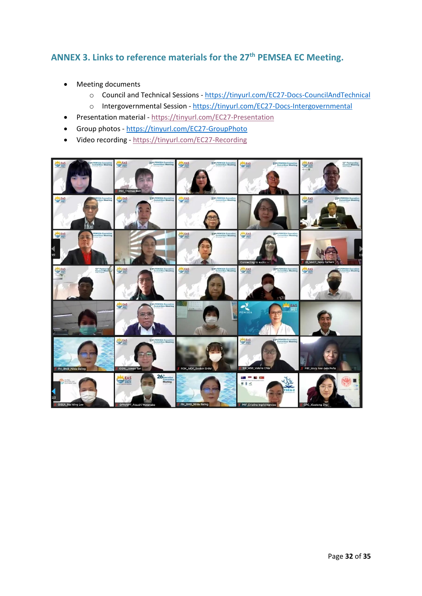### <span id="page-31-0"></span>**ANNEX 3. Links to reference materials for the 27th PEMSEA EC Meeting.**

- Meeting documents
	- o Council and Technical Sessions <https://tinyurl.com/EC27-Docs-CouncilAndTechnical>
	- o Intergovernmental Session <https://tinyurl.com/EC27-Docs-Intergovernmental>
- Presentation material <https://tinyurl.com/EC27-Presentation>
- Group photos <https://tinyurl.com/EC27-GroupPhoto>
- Video recording <https://tinyurl.com/EC27-Recording>

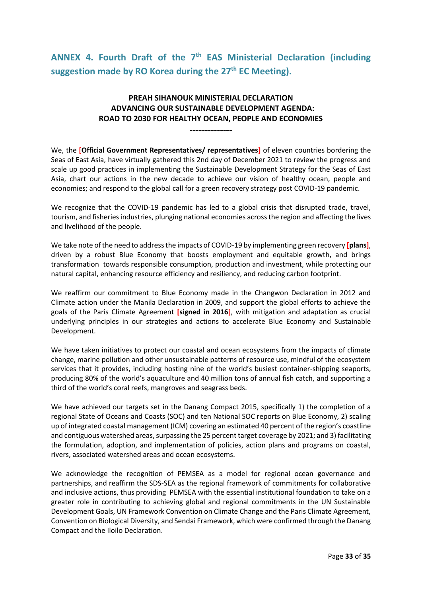# <span id="page-32-0"></span>**ANNEX 4. Fourth Draft of the 7th EAS Ministerial Declaration (including suggestion made by RO Korea during the 27th EC Meeting).**

#### **PREAH SIHANOUK MINISTERIAL DECLARATION ADVANCING OUR SUSTAINABLE DEVELOPMENT AGENDA: ROAD TO 2030 FOR HEALTHY OCEAN, PEOPLE AND ECONOMIES**

**--------------**

We, the **[Official Government Representatives/ representatives]** of eleven countries bordering the Seas of East Asia, have virtually gathered this 2nd day of December 2021 to review the progress and scale up good practices in implementing the Sustainable Development Strategy for the Seas of East Asia, chart our actions in the new decade to achieve our vision of healthy ocean, people and economies; and respond to the global call for a green recovery strategy post COVID-19 pandemic.

We recognize that the COVID-19 pandemic has led to a global crisis that disrupted trade, travel, tourism, and fisheries industries, plunging national economies across the region and affecting the lives and livelihood of the people.

We take note of the need to address the impacts of COVID-19 by implementing green recovery **[plans]**, driven by a robust Blue Economy that boosts employment and equitable growth, and brings transformation towards responsible consumption, production and investment, while protecting our natural capital, enhancing resource efficiency and resiliency, and reducing carbon footprint.

We reaffirm our commitment to Blue Economy made in the Changwon Declaration in 2012 and Climate action under the Manila Declaration in 2009, and support the global efforts to achieve the goals of the Paris Climate Agreement **[signed in 2016]**, with mitigation and adaptation as crucial underlying principles in our strategies and actions to accelerate Blue Economy and Sustainable Development.

We have taken initiatives to protect our coastal and ocean ecosystems from the impacts of climate change, marine pollution and other unsustainable patterns of resource use, mindful of the ecosystem services that it provides, including hosting nine of the world's busiest container-shipping seaports, producing 80% of the world's aquaculture and 40 million tons of annual fish catch, and supporting a third of the world's coral reefs, mangroves and seagrass beds.

We have achieved our targets set in the Danang Compact 2015, specifically 1) the completion of a regional State of Oceans and Coasts (SOC) and ten National SOC reports on Blue Economy, 2) scaling up of integrated coastal management (ICM) covering an estimated 40 percent of the region's coastline and contiguous watershed areas, surpassing the 25 percent target coverage by 2021; and 3) facilitating the formulation, adoption, and implementation of policies, action plans and programs on coastal, rivers, associated watershed areas and ocean ecosystems.

We acknowledge the recognition of PEMSEA as a model for regional ocean governance and partnerships, and reaffirm the SDS-SEA as the regional framework of commitments for collaborative and inclusive actions, thus providing PEMSEA with the essential institutional foundation to take on a greater role in contributing to achieving global and regional commitments in the UN Sustainable Development Goals, UN Framework Convention on Climate Change and the Paris Climate Agreement, Convention on Biological Diversity, and Sendai Framework, which were confirmed through the Danang Compact and the Iloilo Declaration.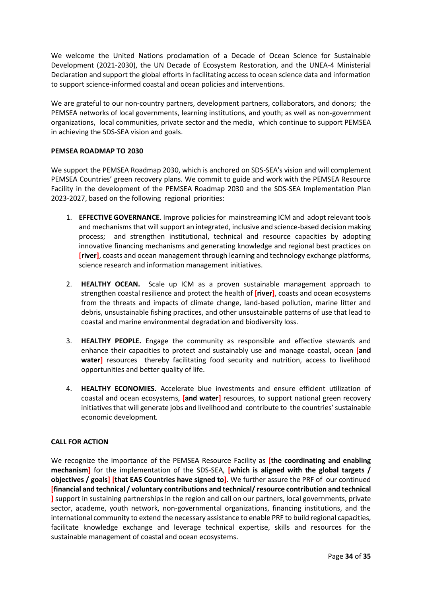We welcome the United Nations proclamation of a Decade of Ocean Science for Sustainable Development (2021-2030), the UN Decade of Ecosystem Restoration, and the UNEA-4 Ministerial Declaration and support the global efforts in facilitating access to ocean science data and information to support science-informed coastal and ocean policies and interventions.

We are grateful to our non-country partners, development partners, collaborators, and donors; the PEMSEA networks of local governments, learning institutions, and youth; as well as non-government organizations, local communities, private sector and the media, which continue to support PEMSEA in achieving the SDS-SEA vision and goals.

#### **PEMSEA ROADMAP TO 2030**

We support the PEMSEA Roadmap 2030, which is anchored on SDS-SEA's vision and will complement PEMSEA Countries' green recovery plans. We commit to guide and work with the PEMSEA Resource Facility in the development of the PEMSEA Roadmap 2030 and the SDS-SEA Implementation Plan 2023-2027, based on the following regional priorities:

- 1. **EFFECTIVE GOVERNANCE**. Improve policies for mainstreaming ICM and adopt relevant tools and mechanisms that will support an integrated, inclusive and science-based decision making process; and strengthen institutional, technical and resource capacities by adopting innovative financing mechanisms and generating knowledge and regional best practices on **[river]**, coasts and ocean management through learning and technology exchange platforms, science research and information management initiatives.
- 2. **HEALTHY OCEAN.** Scale up ICM as a proven sustainable management approach to strengthen coastal resilience and protect the health of **[river]**, coasts and ocean ecosystems from the threats and impacts of climate change, land-based pollution, marine litter and debris, unsustainable fishing practices, and other unsustainable patterns of use that lead to coastal and marine environmental degradation and biodiversity loss.
- 3. **HEALTHY PEOPLE.** Engage the community as responsible and effective stewards and enhance their capacities to protect and sustainably use and manage coastal, ocean **[and**  water] resources thereby facilitating food security and nutrition, access to livelihood opportunities and better quality of life.
- 4. **HEALTHY ECONOMIES.** Accelerate blue investments and ensure efficient utilization of coastal and ocean ecosystems, **[and water]** resources, to support national green recovery initiatives that will generate jobs and livelihood and contribute to the countries' sustainable economic development*.*

#### **CALL FOR ACTION**

We recognize the importance of the PEMSEA Resource Facility as **[the coordinating and enabling mechanism]** for the implementation of the SDS-SEA, **[which is aligned with the global targets / objectives / goals] [that EAS Countries have signed to]**. We further assure the PRF of our continued **[financial and technical / voluntary contributions and technical/ resource contribution and technical ]** support in sustaining partnerships in the region and call on our partners, local governments, private sector, academe, youth network, non-governmental organizations, financing institutions, and the international community to extend the necessary assistance to enable PRF to build regional capacities, facilitate knowledge exchange and leverage technical expertise, skills and resources for the sustainable management of coastal and ocean ecosystems.